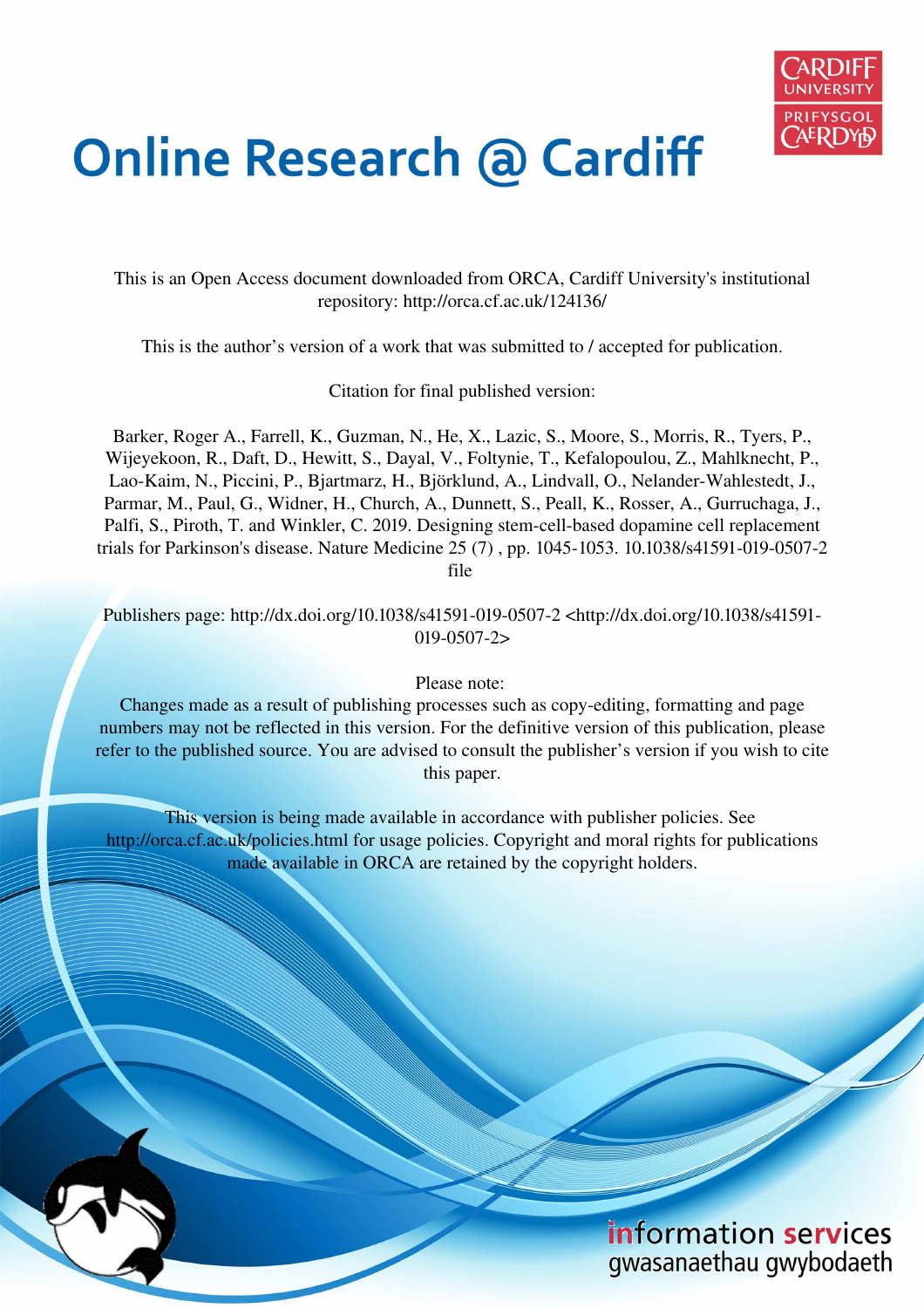

# **Online Research @ Cardiff**

This is an Open Access document downloaded from ORCA, Cardiff University's institutional repository: http://orca.cf.ac.uk/124136/

This is the author's version of a work that was submitted to / accepted for publication.

Citation for final published version:

Barker, Roger A., Farrell, K., Guzman, N., He, X., Lazic, S., Moore, S., Morris, R., Tyers, P., Wijeyekoon, R., Daft, D., Hewitt, S., Dayal, V., Foltynie, T., Kefalopoulou, Z., Mahlknecht, P., Lao-Kaim, N., Piccini, P., Bjartmarz, H., Björklund, A., Lindvall, O., Nelander-Wahlestedt, J., Parmar, M., Paul, G., Widner, H., Church, A., Dunnett, S., Peall, K., Rosser, A., Gurruchaga, J., Palfi, S., Piroth, T. and Winkler, C. 2019. Designing stem-cell-based dopamine cell replacement trials for Parkinson's disease. Nature Medicine 25 (7) , pp. 1045-1053. 10.1038/s41591-019-0507-2 file

Publishers page: http://dx.doi.org/10.1038/s41591-019-0507-2 <http://dx.doi.org/10.1038/s41591- 019-0507-2>

Please note:

Changes made as a result of publishing processes such as copy-editing, formatting and page numbers may not be reflected in this version. For the definitive version of this publication, please refer to the published source. You are advised to consult the publisher's version if you wish to cite this paper.

This version is being made available in accordance with publisher policies. See http://orca.cf.ac.uk/policies.html for usage policies. Copyright and moral rights for publications made available in ORCA are retained by the copyright holders.



information services gwasanaethau gwybodaeth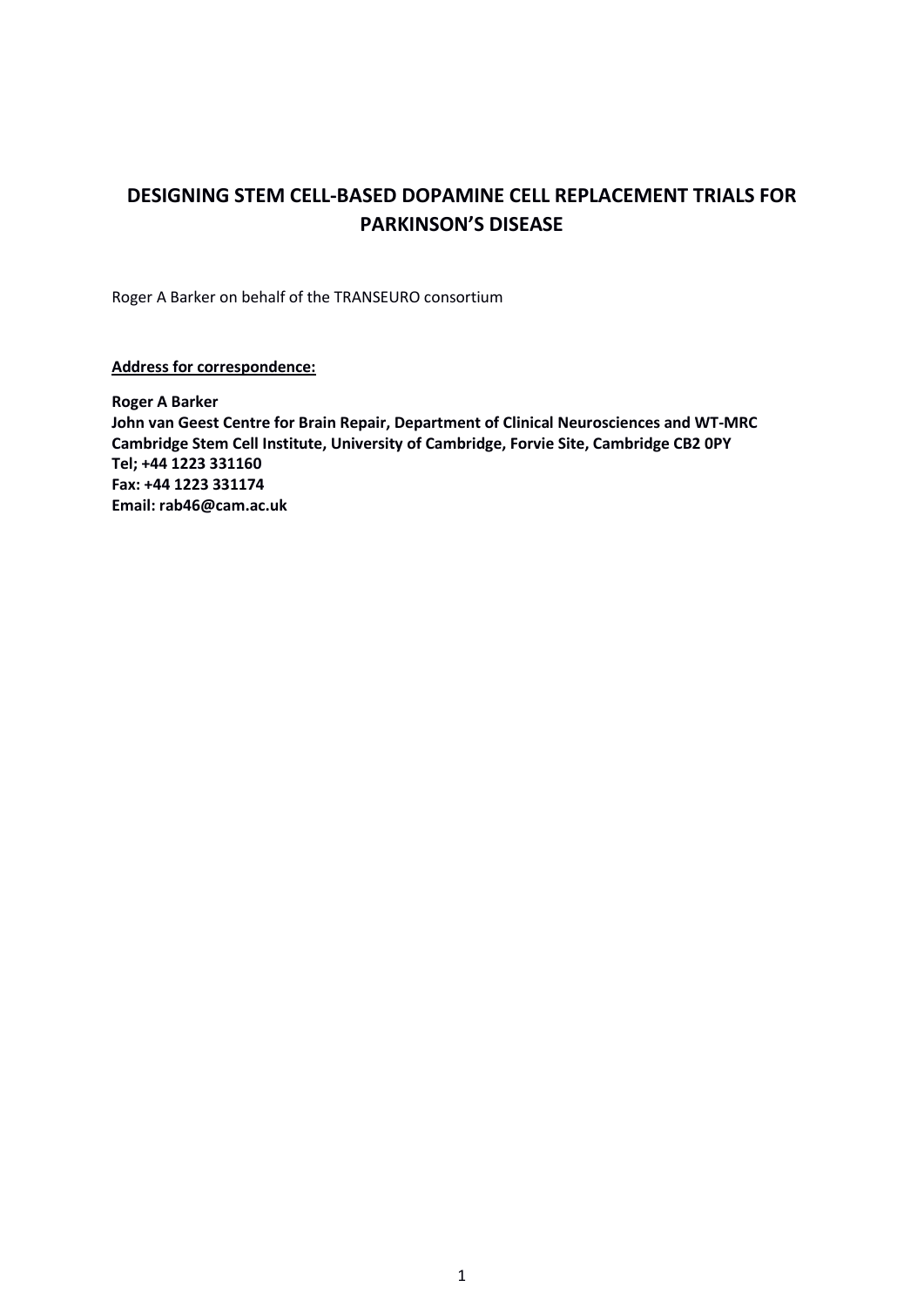# **DESIGNING STEM CELL-BASED DOPAMINE CELL REPLACEMENT TRIALS FOR PARKINSON'S DISEASE**

Roger A Barker on behalf of the TRANSEURO consortium

**Address for correspondence:**

**Roger A Barker John van Geest Centre for Brain Repair, Department of Clinical Neurosciences and WT-MRC Cambridge Stem Cell Institute, University of Cambridge, Forvie Site, Cambridge CB2 0PY Tel; +44 1223 331160 Fax: +44 1223 331174 Email: rab46@cam.ac.uk**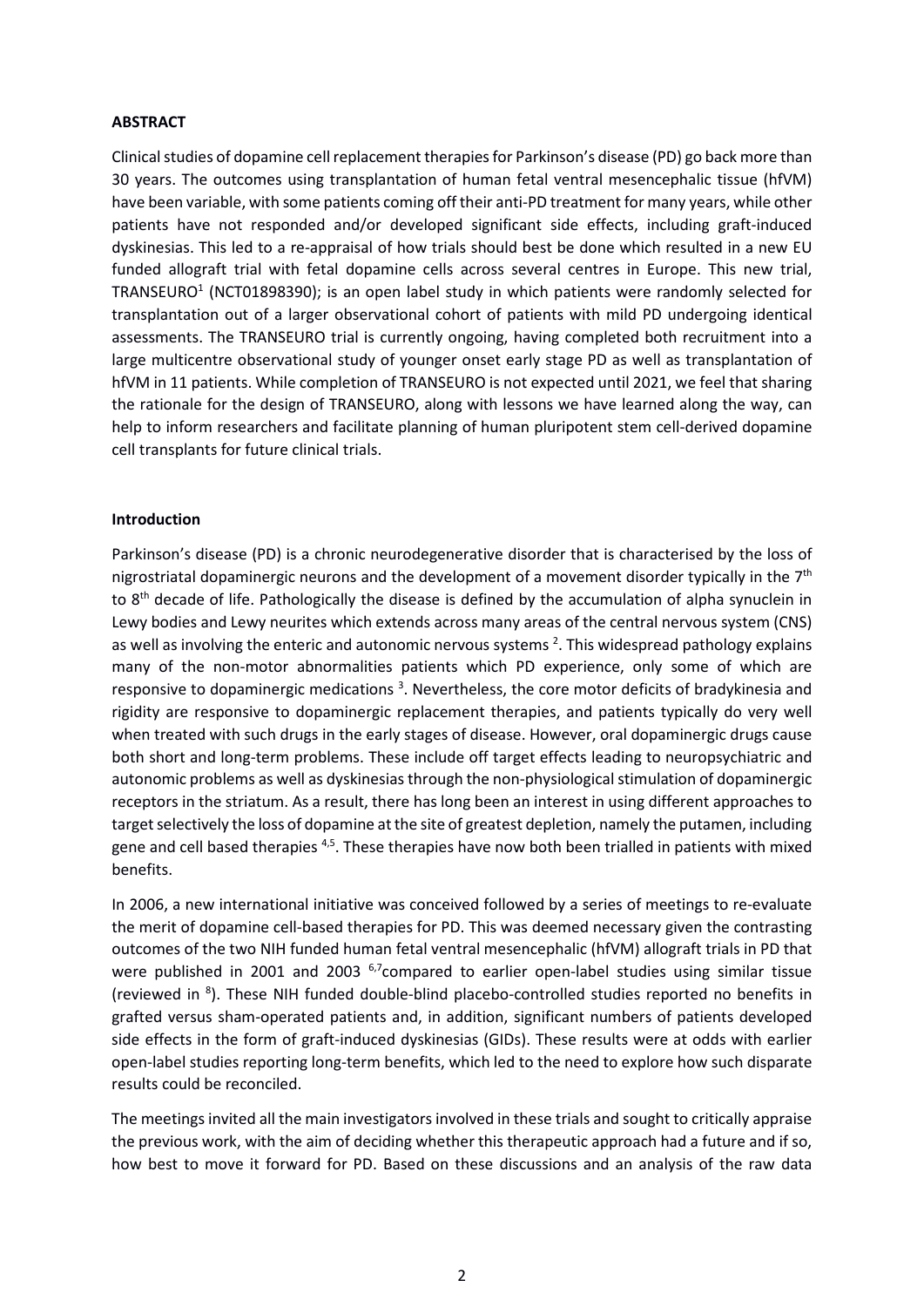#### **ABSTRACT**

Clinical studies of dopamine cellreplacement therapies for Parkinson's disease (PD) go back more than 30 years. The outcomes using transplantation of human fetal ventral mesencephalic tissue (hfVM) have been variable, with some patients coming off their anti-PD treatment for many years, while other patients have not responded and/or developed significant side effects, including graft-induced dyskinesias. This led to a re-appraisal of how trials should best be done which resulted in a new EU funded allograft trial with fetal dopamine cells across several centres in Europe. This new trial, TRANSEURO<sup>1</sup> (NCT01898390); is an open label study in which patients were randomly selected for transplantation out of a larger observational cohort of patients with mild PD undergoing identical assessments. The TRANSEURO trial is currently ongoing, having completed both recruitment into a large multicentre observational study of younger onset early stage PD as well as transplantation of hfVM in 11 patients. While completion of TRANSEURO is not expected until 2021, we feel that sharing the rationale for the design of TRANSEURO, along with lessons we have learned along the way, can help to inform researchers and facilitate planning of human pluripotent stem cell-derived dopamine cell transplants for future clinical trials.

#### **Introduction**

Parkinson's disease (PD) is a chronic neurodegenerative disorder that is characterised by the loss of nigrostriatal dopaminergic neurons and the development of a movement disorder typically in the  $7<sup>th</sup>$ to 8<sup>th</sup> decade of life. Pathologically the disease is defined by the accumulation of alpha synuclein in Lewy bodies and Lewy neurites which extends across many areas of the central nervous system (CNS) as well as involving the enteric and autonomic nervous systems <sup>2</sup>. This widespread pathology explains many of the non-motor abnormalities patients which PD experience, only some of which are responsive to dopaminergic medications<sup>3</sup>. Nevertheless, the core motor deficits of bradykinesia and rigidity are responsive to dopaminergic replacement therapies, and patients typically do very well when treated with such drugs in the early stages of disease. However, oral dopaminergic drugs cause both short and long-term problems. These include off target effects leading to neuropsychiatric and autonomic problems as well as dyskinesias through the non-physiological stimulation of dopaminergic receptors in the striatum. As a result, there has long been an interest in using different approaches to target selectively the loss of dopamine at the site of greatest depletion, namely the putamen, including gene and cell based therapies <sup>4,5</sup>. These therapies have now both been trialled in patients with mixed benefits.

In 2006, a new international initiative was conceived followed by a series of meetings to re-evaluate the merit of dopamine cell-based therapies for PD. This was deemed necessary given the contrasting outcomes of the two NIH funded human fetal ventral mesencephalic (hfVM) allograft trials in PD that were published in 2001 and 2003 <sup>6,7</sup>compared to earlier open-label studies using similar tissue (reviewed in <sup>8</sup>). These NIH funded double-blind placebo-controlled studies reported no benefits in grafted versus sham-operated patients and, in addition, significant numbers of patients developed side effects in the form of graft-induced dyskinesias (GIDs). These results were at odds with earlier open-label studies reporting long-term benefits, which led to the need to explore how such disparate results could be reconciled.

The meetings invited all the main investigators involved in these trials and sought to critically appraise the previous work, with the aim of deciding whether this therapeutic approach had a future and if so, how best to move it forward for PD. Based on these discussions and an analysis of the raw data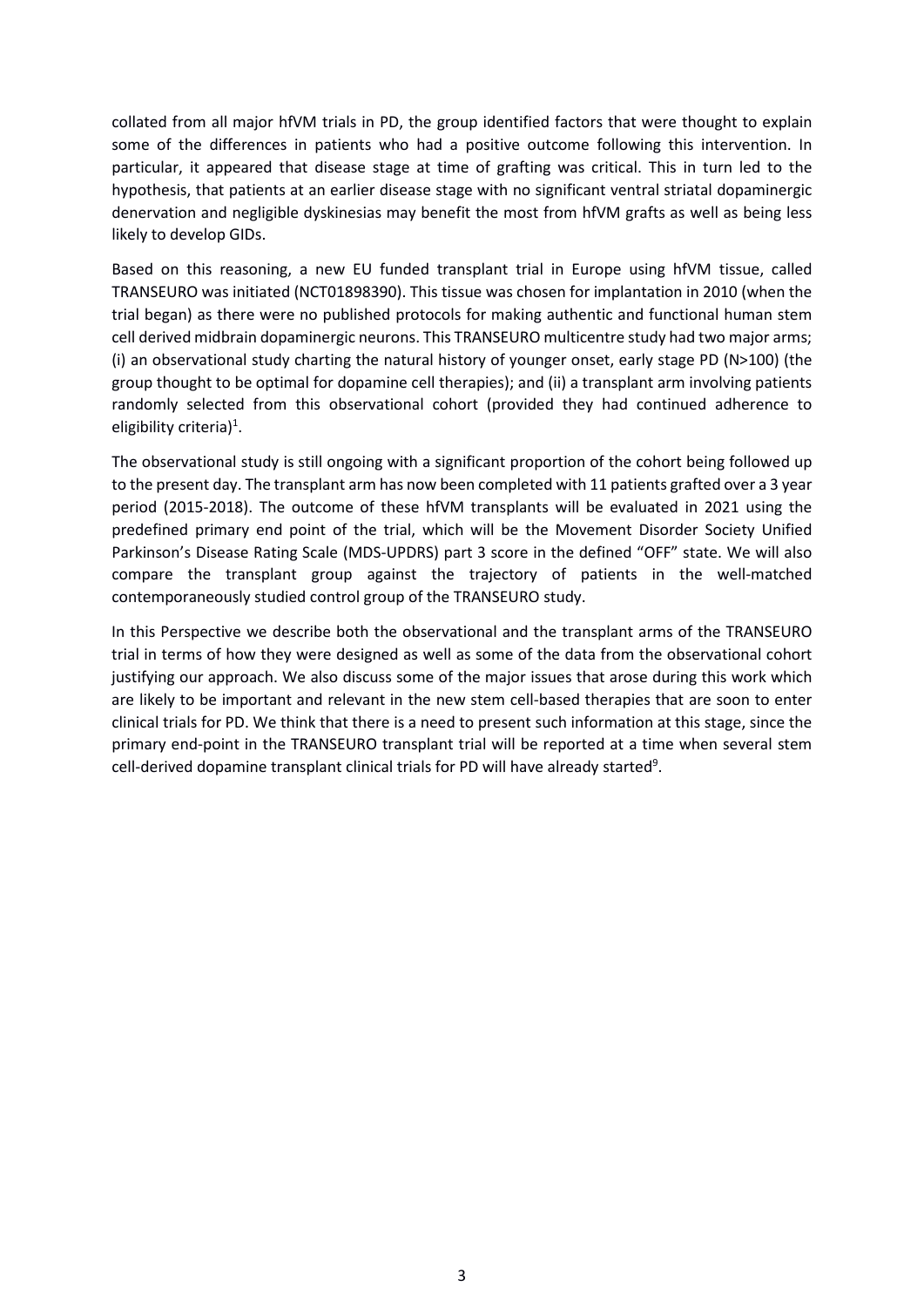collated from all major hfVM trials in PD, the group identified factors that were thought to explain some of the differences in patients who had a positive outcome following this intervention. In particular, it appeared that disease stage at time of grafting was critical. This in turn led to the hypothesis, that patients at an earlier disease stage with no significant ventral striatal dopaminergic denervation and negligible dyskinesias may benefit the most from hfVM grafts as well as being less likely to develop GIDs.

Based on this reasoning, a new EU funded transplant trial in Europe using hfVM tissue, called TRANSEURO was initiated (NCT01898390). This tissue was chosen for implantation in 2010 (when the trial began) as there were no published protocols for making authentic and functional human stem cell derived midbrain dopaminergic neurons. This TRANSEURO multicentre study had two major arms; (i) an observational study charting the natural history of younger onset, early stage PD (N>100) (the group thought to be optimal for dopamine cell therapies); and (ii) a transplant arm involving patients randomly selected from this observational cohort (provided they had continued adherence to eligibility criteria)<sup>1</sup>.

The observational study is still ongoing with a significant proportion of the cohort being followed up to the present day. The transplant arm has now been completed with 11 patients grafted over a 3 year period (2015-2018). The outcome of these hfVM transplants will be evaluated in 2021 using the predefined primary end point of the trial, which will be the Movement Disorder Society Unified Parkinson's Disease Rating Scale (MDS-UPDRS) part 3 score in the defined "OFF" state. We will also compare the transplant group against the trajectory of patients in the well-matched contemporaneously studied control group of the TRANSEURO study.

In this Perspective we describe both the observational and the transplant arms of the TRANSEURO trial in terms of how they were designed as well as some of the data from the observational cohort justifying our approach. We also discuss some of the major issues that arose during this work which are likely to be important and relevant in the new stem cell-based therapies that are soon to enter clinical trials for PD. We think that there is a need to present such information at this stage, since the primary end-point in the TRANSEURO transplant trial will be reported at a time when several stem cell-derived dopamine transplant clinical trials for PD will have already started<sup>9</sup>.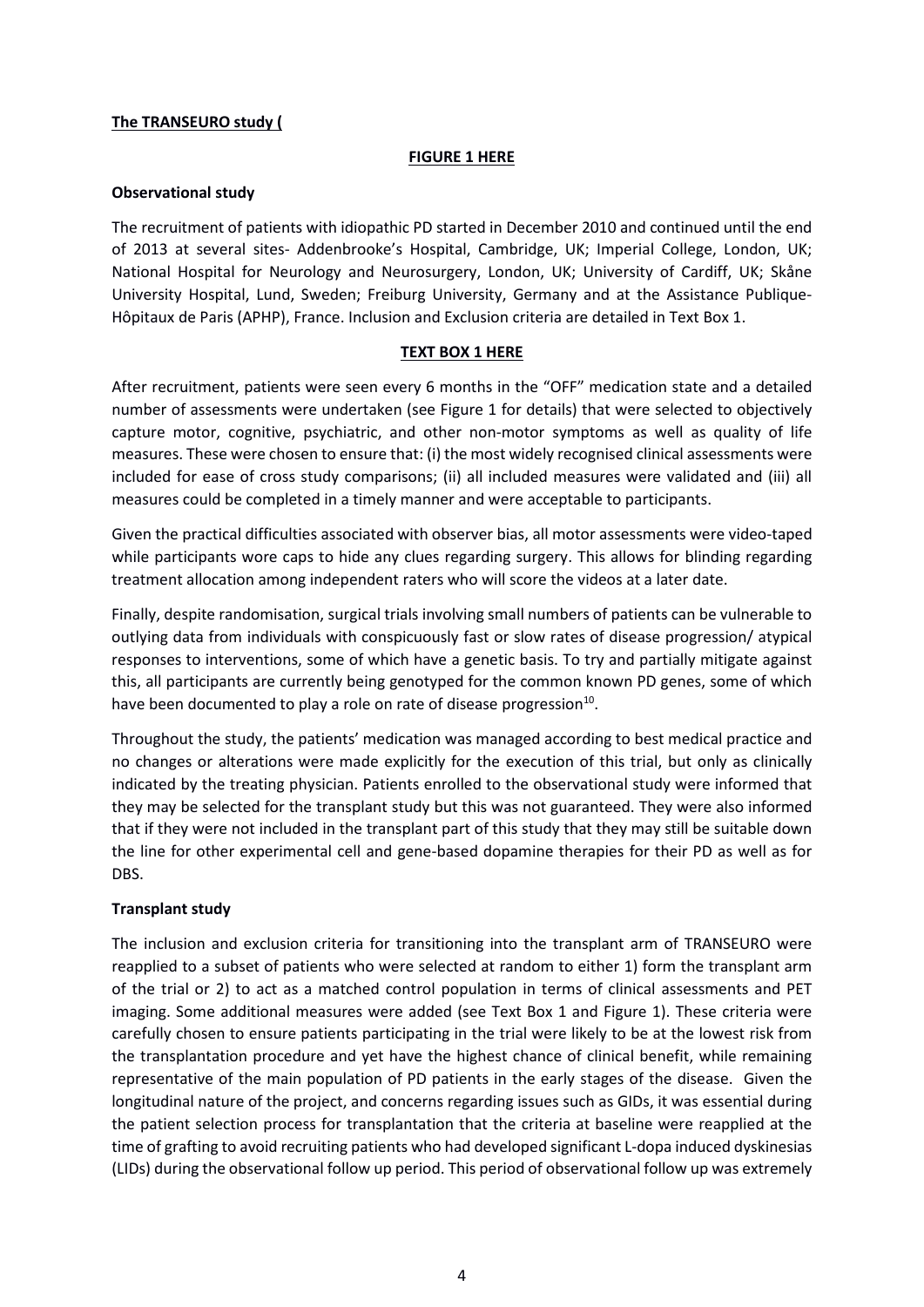#### **The TRANSEURO study (**

#### **FIGURE 1 HERE**

### **Observational study**

The recruitment of patients with idiopathic PD started in December 2010 and continued until the end of 2013 at several sites- Addenbrooke's Hospital, Cambridge, UK; Imperial College, London, UK; National Hospital for Neurology and Neurosurgery, London, UK; University of Cardiff, UK; Skåne University Hospital, Lund, Sweden; Freiburg University, Germany and at the Assistance Publique-Hôpitaux de Paris (APHP), France. Inclusion and Exclusion criteria are detailed in Text Box 1.

### **TEXT BOX 1 HERE**

After recruitment, patients were seen every 6 months in the "OFF" medication state and a detailed number of assessments were undertaken (see Figure 1 for details) that were selected to objectively capture motor, cognitive, psychiatric, and other non-motor symptoms as well as quality of life measures. These were chosen to ensure that: (i) the most widely recognised clinical assessments were included for ease of cross study comparisons; (ii) all included measures were validated and (iii) all measures could be completed in a timely manner and were acceptable to participants.

Given the practical difficulties associated with observer bias, all motor assessments were video-taped while participants wore caps to hide any clues regarding surgery. This allows for blinding regarding treatment allocation among independent raters who will score the videos at a later date.

Finally, despite randomisation, surgical trials involving small numbers of patients can be vulnerable to outlying data from individuals with conspicuously fast or slow rates of disease progression/ atypical responses to interventions, some of which have a genetic basis. To try and partially mitigate against this, all participants are currently being genotyped for the common known PD genes, some of which have been documented to play a role on rate of disease progression $^{10}$ .

Throughout the study, the patients' medication was managed according to best medical practice and no changes or alterations were made explicitly for the execution of this trial, but only as clinically indicated by the treating physician. Patients enrolled to the observational study were informed that they may be selected for the transplant study but this was not guaranteed. They were also informed that if they were not included in the transplant part of this study that they may still be suitable down the line for other experimental cell and gene-based dopamine therapies for their PD as well as for DBS.

# **Transplant study**

The inclusion and exclusion criteria for transitioning into the transplant arm of TRANSEURO were reapplied to a subset of patients who were selected at random to either 1) form the transplant arm of the trial or 2) to act as a matched control population in terms of clinical assessments and PET imaging. Some additional measures were added (see Text Box 1 and Figure 1). These criteria were carefully chosen to ensure patients participating in the trial were likely to be at the lowest risk from the transplantation procedure and yet have the highest chance of clinical benefit, while remaining representative of the main population of PD patients in the early stages of the disease. Given the longitudinal nature of the project, and concerns regarding issues such as GIDs, it was essential during the patient selection process for transplantation that the criteria at baseline were reapplied at the time of grafting to avoid recruiting patients who had developed significant L-dopa induced dyskinesias (LIDs) during the observational follow up period. This period of observational follow up was extremely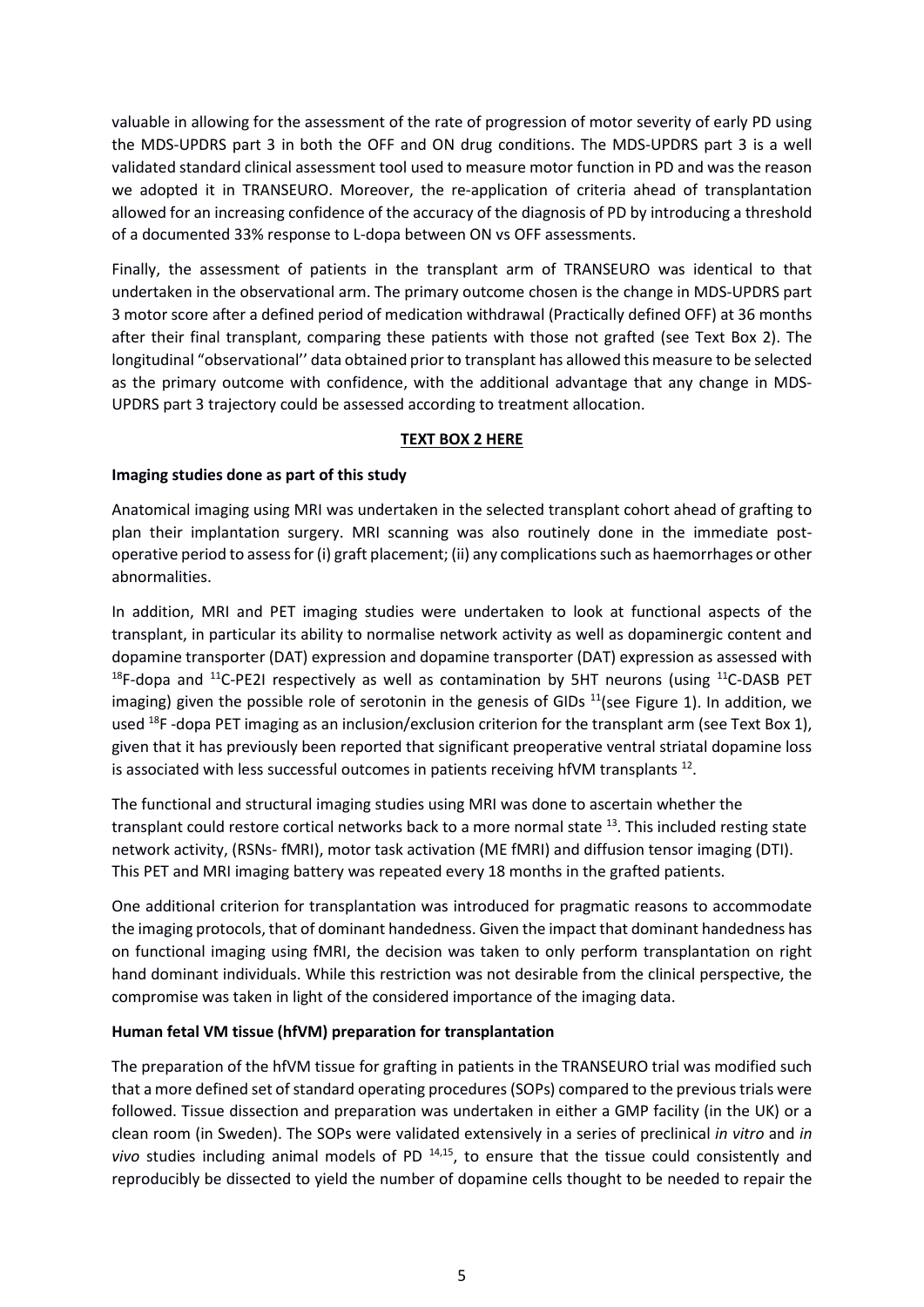valuable in allowing for the assessment of the rate of progression of motor severity of early PD using the MDS-UPDRS part 3 in both the OFF and ON drug conditions. The MDS-UPDRS part 3 is a well validated standard clinical assessment tool used to measure motor function in PD and was the reason we adopted it in TRANSEURO. Moreover, the re-application of criteria ahead of transplantation allowed for an increasing confidence of the accuracy of the diagnosis of PD by introducing a threshold of a documented 33% response to L-dopa between ON vs OFF assessments.

Finally, the assessment of patients in the transplant arm of TRANSEURO was identical to that undertaken in the observational arm. The primary outcome chosen is the change in MDS-UPDRS part 3 motor score after a defined period of medication withdrawal (Practically defined OFF) at 36 months after their final transplant, comparing these patients with those not grafted (see Text Box 2). The longitudinal "observational'' data obtained prior to transplant has allowed this measure to be selected as the primary outcome with confidence, with the additional advantage that any change in MDS-UPDRS part 3 trajectory could be assessed according to treatment allocation.

#### **TEXT BOX 2 HERE**

### **Imaging studies done as part of this study**

Anatomical imaging using MRI was undertaken in the selected transplant cohort ahead of grafting to plan their implantation surgery. MRI scanning was also routinely done in the immediate postoperative period to assess for (i) graft placement; (ii) any complications such as haemorrhages or other abnormalities.

In addition, MRI and PET imaging studies were undertaken to look at functional aspects of the transplant, in particular its ability to normalise network activity as well as dopaminergic content and dopamine transporter (DAT) expression and dopamine transporter (DAT) expression as assessed with  $18F$ -dopa and  $11C$ -PE2I respectively as well as contamination by 5HT neurons (using  $11C$ -DASB PET imaging) given the possible role of serotonin in the genesis of GIDs  $^{11}$ (see Figure 1). In addition, we used  $^{18}$ F -dopa PET imaging as an inclusion/exclusion criterion for the transplant arm (see Text Box 1), given that it has previously been reported that significant preoperative ventral striatal dopamine loss is associated with less successful outcomes in patients receiving hfVM transplants  $^{12}$ .

The functional and structural imaging studies using MRI was done to ascertain whether the transplant could restore cortical networks back to a more normal state <sup>13</sup>. This included resting state network activity, (RSNs- fMRI), motor task activation (ME fMRI) and diffusion tensor imaging (DTI). This PET and MRI imaging battery was repeated every 18 months in the grafted patients.

One additional criterion for transplantation was introduced for pragmatic reasons to accommodate the imaging protocols, that of dominant handedness. Given the impact that dominant handedness has on functional imaging using fMRI, the decision was taken to only perform transplantation on right hand dominant individuals. While this restriction was not desirable from the clinical perspective, the compromise was taken in light of the considered importance of the imaging data.

#### **Human fetal VM tissue (hfVM) preparation for transplantation**

The preparation of the hfVM tissue for grafting in patients in the TRANSEURO trial was modified such that a more defined set of standard operating procedures (SOPs) compared to the previous trials were followed. Tissue dissection and preparation was undertaken in either a GMP facility (in the UK) or a clean room (in Sweden). The SOPs were validated extensively in a series of preclinical *in vitro* and *in vivo* studies including animal models of PD<sup>14,15</sup>, to ensure that the tissue could consistently and reproducibly be dissected to yield the number of dopamine cells thought to be needed to repair the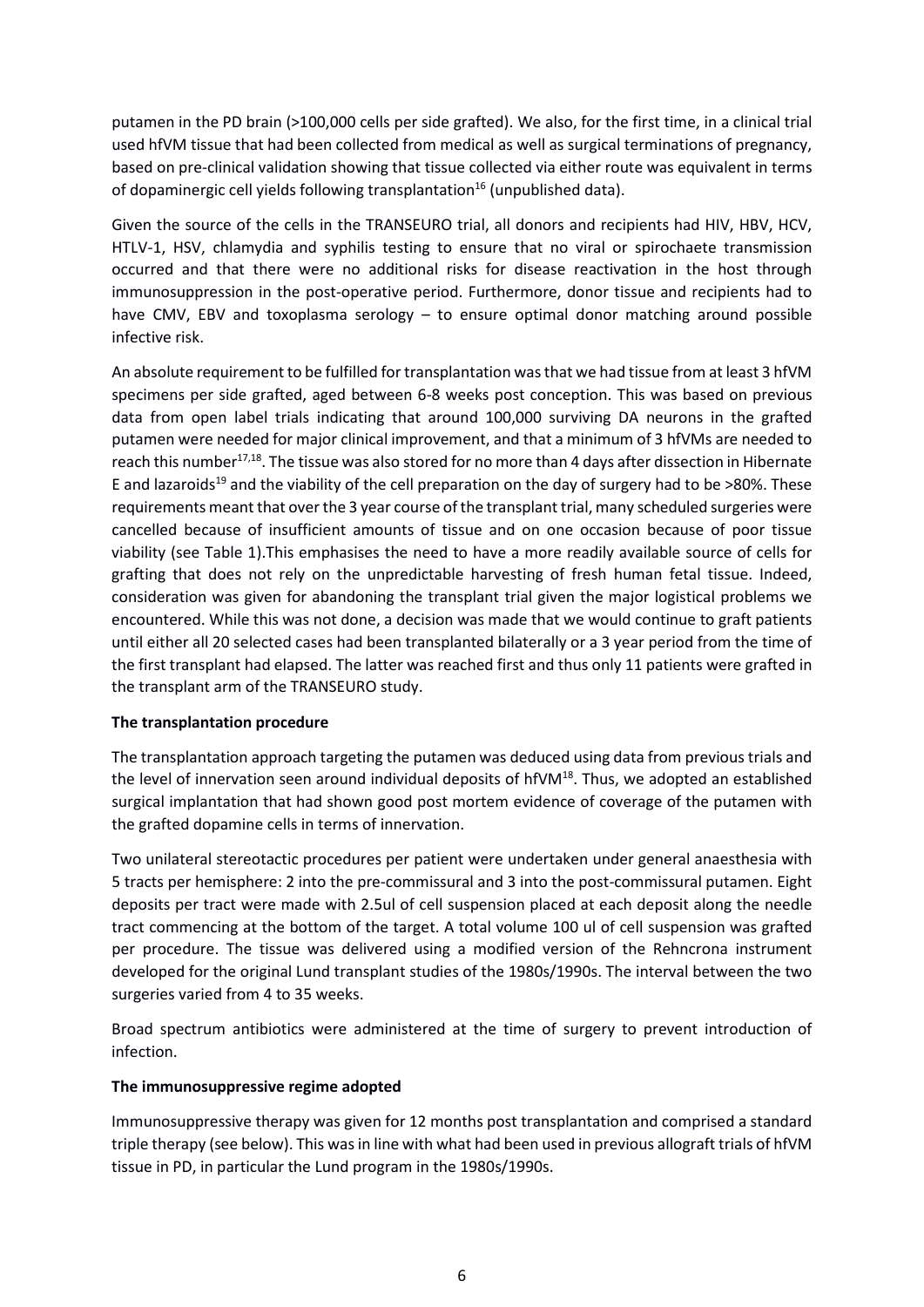putamen in the PD brain (>100,000 cells per side grafted). We also, for the first time, in a clinical trial used hfVM tissue that had been collected from medical as well as surgical terminations of pregnancy, based on pre-clinical validation showing that tissue collected via either route was equivalent in terms of dopaminergic cell yields following transplantation<sup>16</sup> (unpublished data).

Given the source of the cells in the TRANSEURO trial, all donors and recipients had HIV, HBV, HCV, HTLV-1, HSV, chlamydia and syphilis testing to ensure that no viral or spirochaete transmission occurred and that there were no additional risks for disease reactivation in the host through immunosuppression in the post-operative period. Furthermore, donor tissue and recipients had to have CMV, EBV and toxoplasma serology – to ensure optimal donor matching around possible infective risk.

An absolute requirement to be fulfilled for transplantation was that we had tissue from at least 3 hfVM specimens per side grafted, aged between 6-8 weeks post conception. This was based on previous data from open label trials indicating that around 100,000 surviving DA neurons in the grafted putamen were needed for major clinical improvement, and that a minimum of 3 hfVMs are needed to reach this number<sup>17,18</sup>. The tissue was also stored for no more than 4 days after dissection in Hibernate E and lazaroids<sup>19</sup> and the viability of the cell preparation on the day of surgery had to be >80%. These requirements meant that over the 3 year course of the transplant trial, many scheduled surgeries were cancelled because of insufficient amounts of tissue and on one occasion because of poor tissue viability (see Table 1).This emphasises the need to have a more readily available source of cells for grafting that does not rely on the unpredictable harvesting of fresh human fetal tissue. Indeed, consideration was given for abandoning the transplant trial given the major logistical problems we encountered. While this was not done, a decision was made that we would continue to graft patients until either all 20 selected cases had been transplanted bilaterally or a 3 year period from the time of the first transplant had elapsed. The latter was reached first and thus only 11 patients were grafted in the transplant arm of the TRANSEURO study.

# **The transplantation procedure**

The transplantation approach targeting the putamen was deduced using data from previous trials and the level of innervation seen around individual deposits of hfVM $^{18}$ . Thus, we adopted an established surgical implantation that had shown good post mortem evidence of coverage of the putamen with the grafted dopamine cells in terms of innervation.

Two unilateral stereotactic procedures per patient were undertaken under general anaesthesia with 5 tracts per hemisphere: 2 into the pre-commissural and 3 into the post-commissural putamen. Eight deposits per tract were made with 2.5ul of cell suspension placed at each deposit along the needle tract commencing at the bottom of the target. A total volume 100 ul of cell suspension was grafted per procedure. The tissue was delivered using a modified version of the Rehncrona instrument developed for the original Lund transplant studies of the 1980s/1990s. The interval between the two surgeries varied from 4 to 35 weeks.

Broad spectrum antibiotics were administered at the time of surgery to prevent introduction of infection.

#### **The immunosuppressive regime adopted**

Immunosuppressive therapy was given for 12 months post transplantation and comprised a standard triple therapy (see below). This was in line with what had been used in previous allograft trials of hfVM tissue in PD, in particular the Lund program in the 1980s/1990s.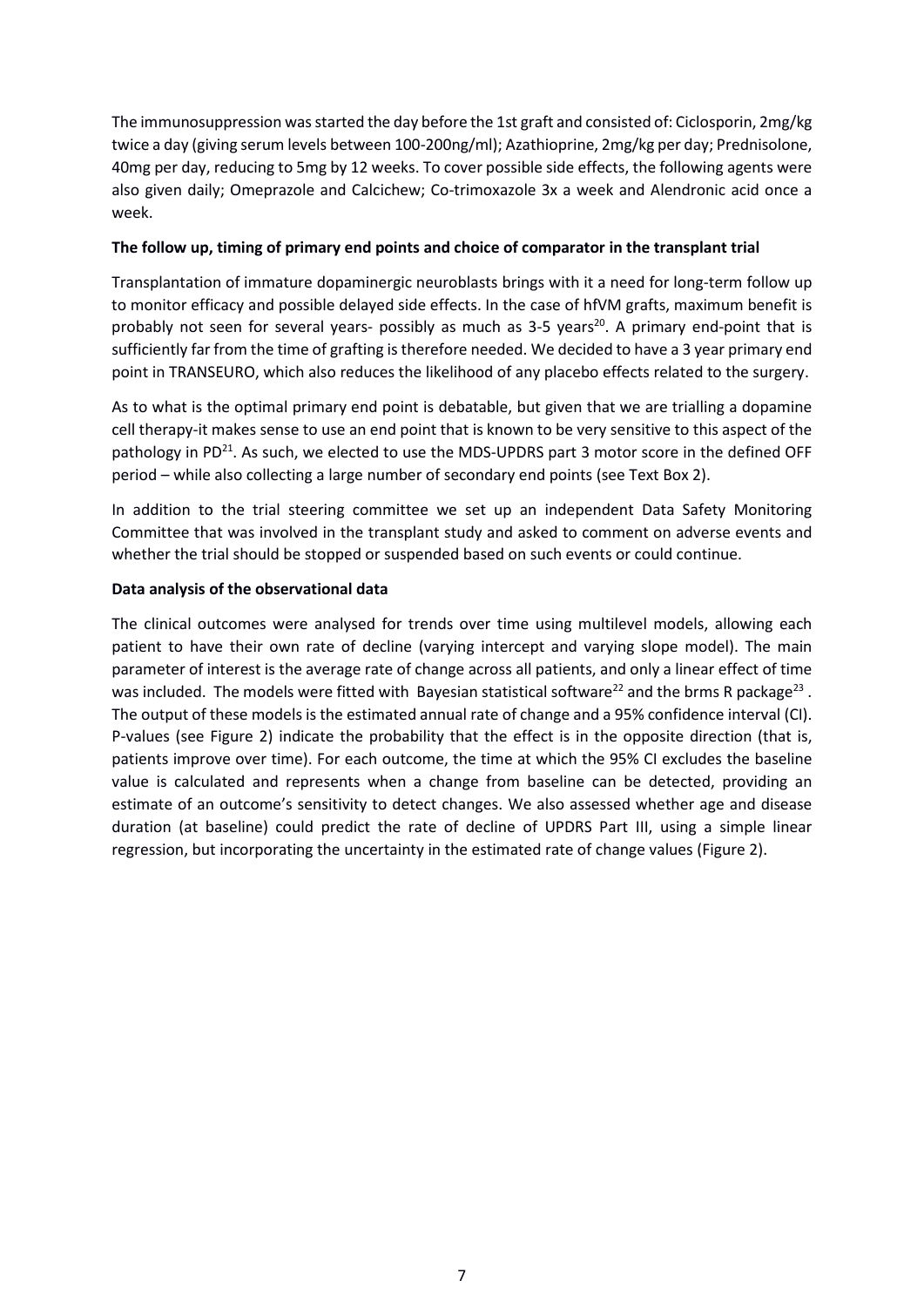The immunosuppression was started the day before the 1st graft and consisted of: Ciclosporin, 2mg/kg twice a day (giving serum levels between 100-200ng/ml); Azathioprine, 2mg/kg per day; Prednisolone, 40mg per day, reducing to 5mg by 12 weeks. To cover possible side effects, the following agents were also given daily; Omeprazole and Calcichew; Co-trimoxazole 3x a week and Alendronic acid once a week.

### **The follow up, timing of primary end points and choice of comparator in the transplant trial**

Transplantation of immature dopaminergic neuroblasts brings with it a need for long-term follow up to monitor efficacy and possible delayed side effects. In the case of hfVM grafts, maximum benefit is probably not seen for several years- possibly as much as 3-5 years<sup>20</sup>. A primary end-point that is sufficiently far from the time of grafting is therefore needed. We decided to have a 3 year primary end point in TRANSEURO, which also reduces the likelihood of any placebo effects related to the surgery.

As to what is the optimal primary end point is debatable, but given that we are trialling a dopamine cell therapy-it makes sense to use an end point that is known to be very sensitive to this aspect of the pathology in PD $^{21}$ . As such, we elected to use the MDS-UPDRS part 3 motor score in the defined OFF period – while also collecting a large number of secondary end points (see Text Box 2).

In addition to the trial steering committee we set up an independent Data Safety Monitoring Committee that was involved in the transplant study and asked to comment on adverse events and whether the trial should be stopped or suspended based on such events or could continue.

# **Data analysis of the observational data**

The clinical outcomes were analysed for trends over time using multilevel models, allowing each patient to have their own rate of decline (varying intercept and varying slope model). The main parameter of interest is the average rate of change across all patients, and only a linear effect of time was included. The models were fitted with Bayesian statistical software<sup>22</sup> and the brms R package<sup>23</sup>. The output of these models is the estimated annual rate of change and a 95% confidence interval (CI). P-values (see Figure 2) indicate the probability that the effect is in the opposite direction (that is, patients improve over time). For each outcome, the time at which the 95% CI excludes the baseline value is calculated and represents when a change from baseline can be detected, providing an estimate of an outcome's sensitivity to detect changes. We also assessed whether age and disease duration (at baseline) could predict the rate of decline of UPDRS Part III, using a simple linear regression, but incorporating the uncertainty in the estimated rate of change values (Figure 2).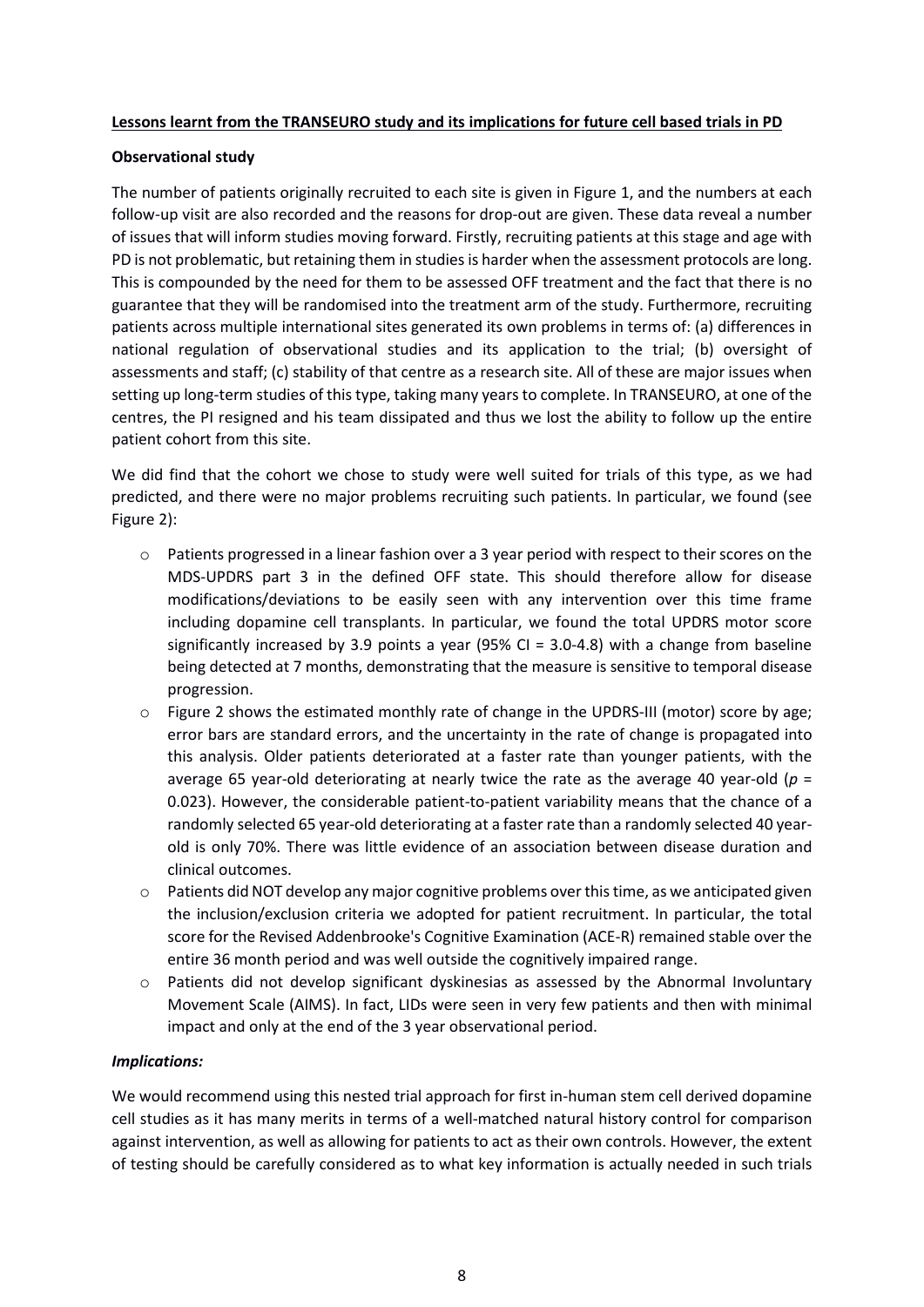#### **Lessons learnt from the TRANSEURO study and its implications for future cell based trials in PD**

### **Observational study**

The number of patients originally recruited to each site is given in Figure 1, and the numbers at each follow-up visit are also recorded and the reasons for drop-out are given. These data reveal a number of issues that will inform studies moving forward. Firstly, recruiting patients at this stage and age with PD is not problematic, but retaining them in studies is harder when the assessment protocols are long. This is compounded by the need for them to be assessed OFF treatment and the fact that there is no guarantee that they will be randomised into the treatment arm of the study. Furthermore, recruiting patients across multiple international sites generated its own problems in terms of: (a) differences in national regulation of observational studies and its application to the trial; (b) oversight of assessments and staff; (c) stability of that centre as a research site. All of these are major issues when setting up long-term studies of this type, taking many years to complete. In TRANSEURO, at one of the centres, the PI resigned and his team dissipated and thus we lost the ability to follow up the entire patient cohort from this site.

We did find that the cohort we chose to study were well suited for trials of this type, as we had predicted, and there were no major problems recruiting such patients. In particular, we found (see Figure 2):

- $\circ$  Patients progressed in a linear fashion over a 3 year period with respect to their scores on the MDS-UPDRS part 3 in the defined OFF state. This should therefore allow for disease modifications/deviations to be easily seen with any intervention over this time frame including dopamine cell transplants. In particular, we found the total UPDRS motor score significantly increased by 3.9 points a year (95% CI =  $3.0-4.8$ ) with a change from baseline being detected at 7 months, demonstrating that the measure is sensitive to temporal disease progression.
- o Figure 2 shows the estimated monthly rate of change in the UPDRS-III (motor) score by age; error bars are standard errors, and the uncertainty in the rate of change is propagated into this analysis. Older patients deteriorated at a faster rate than younger patients, with the average 65 year-old deteriorating at nearly twice the rate as the average 40 year-old (*p* = 0.023). However, the considerable patient-to-patient variability means that the chance of a randomly selected 65 year-old deteriorating at a faster rate than a randomly selected 40 yearold is only 70%. There was little evidence of an association between disease duration and clinical outcomes.
- $\circ$  Patients did NOT develop any major cognitive problems over this time, as we anticipated given the inclusion/exclusion criteria we adopted for patient recruitment. In particular, the total score for the Revised Addenbrooke's Cognitive Examination (ACE-R) remained stable over the entire 36 month period and was well outside the cognitively impaired range.
- $\circ$  Patients did not develop significant dyskinesias as assessed by the Abnormal Involuntary Movement Scale (AIMS). In fact, LIDs were seen in very few patients and then with minimal impact and only at the end of the 3 year observational period.

# *Implications:*

We would recommend using this nested trial approach for first in-human stem cell derived dopamine cell studies as it has many merits in terms of a well-matched natural history control for comparison against intervention, as well as allowing for patients to act as their own controls. However, the extent of testing should be carefully considered as to what key information is actually needed in such trials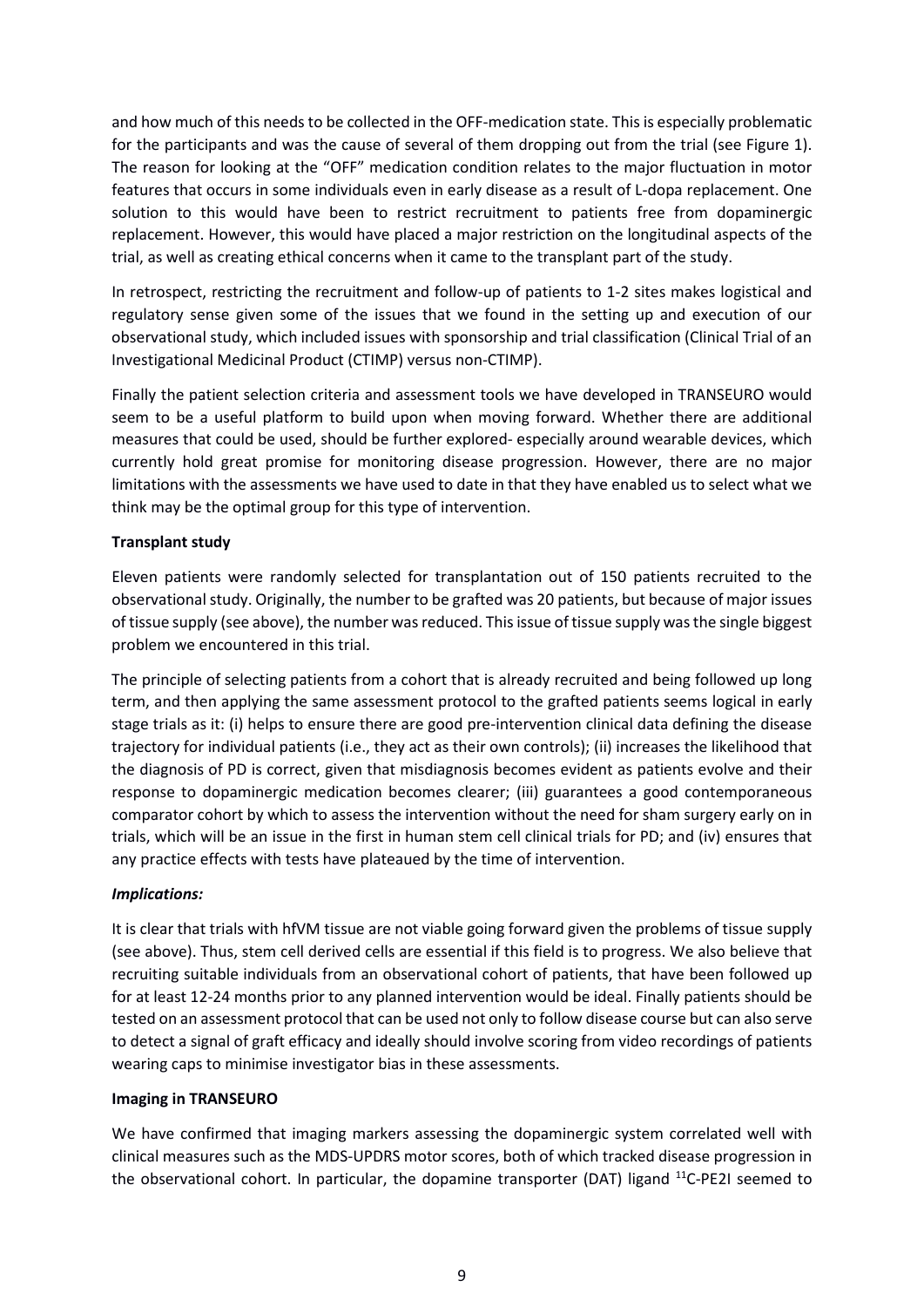and how much of this needs to be collected in the OFF-medication state. This is especially problematic for the participants and was the cause of several of them dropping out from the trial (see Figure 1). The reason for looking at the "OFF" medication condition relates to the major fluctuation in motor features that occurs in some individuals even in early disease as a result of L-dopa replacement. One solution to this would have been to restrict recruitment to patients free from dopaminergic replacement. However, this would have placed a major restriction on the longitudinal aspects of the trial, as well as creating ethical concerns when it came to the transplant part of the study.

In retrospect, restricting the recruitment and follow-up of patients to 1-2 sites makes logistical and regulatory sense given some of the issues that we found in the setting up and execution of our observational study, which included issues with sponsorship and trial classification (Clinical Trial of an Investigational Medicinal Product (CTIMP) versus non-CTIMP).

Finally the patient selection criteria and assessment tools we have developed in TRANSEURO would seem to be a useful platform to build upon when moving forward. Whether there are additional measures that could be used, should be further explored- especially around wearable devices, which currently hold great promise for monitoring disease progression. However, there are no major limitations with the assessments we have used to date in that they have enabled us to select what we think may be the optimal group for this type of intervention.

# **Transplant study**

Eleven patients were randomly selected for transplantation out of 150 patients recruited to the observational study. Originally, the number to be grafted was 20 patients, but because of major issues of tissue supply (see above), the number was reduced. This issue of tissue supply wasthe single biggest problem we encountered in this trial.

The principle of selecting patients from a cohort that is already recruited and being followed up long term, and then applying the same assessment protocol to the grafted patients seems logical in early stage trials as it: (i) helps to ensure there are good pre-intervention clinical data defining the disease trajectory for individual patients (i.e., they act as their own controls); (ii) increases the likelihood that the diagnosis of PD is correct, given that misdiagnosis becomes evident as patients evolve and their response to dopaminergic medication becomes clearer; (iii) guarantees a good contemporaneous comparator cohort by which to assess the intervention without the need for sham surgery early on in trials, which will be an issue in the first in human stem cell clinical trials for PD; and (iv) ensures that any practice effects with tests have plateaued by the time of intervention.

#### *Implications:*

It is clear that trials with hfVM tissue are not viable going forward given the problems of tissue supply (see above). Thus, stem cell derived cells are essential if this field is to progress. We also believe that recruiting suitable individuals from an observational cohort of patients, that have been followed up for at least 12-24 months prior to any planned intervention would be ideal. Finally patients should be tested on an assessment protocol that can be used not only to follow disease course but can also serve to detect a signal of graft efficacy and ideally should involve scoring from video recordings of patients wearing caps to minimise investigator bias in these assessments.

#### **Imaging in TRANSEURO**

We have confirmed that imaging markers assessing the dopaminergic system correlated well with clinical measures such as the MDS-UPDRS motor scores, both of which tracked disease progression in the observational cohort. In particular, the dopamine transporter (DAT) ligand <sup>11</sup>C-PE2I seemed to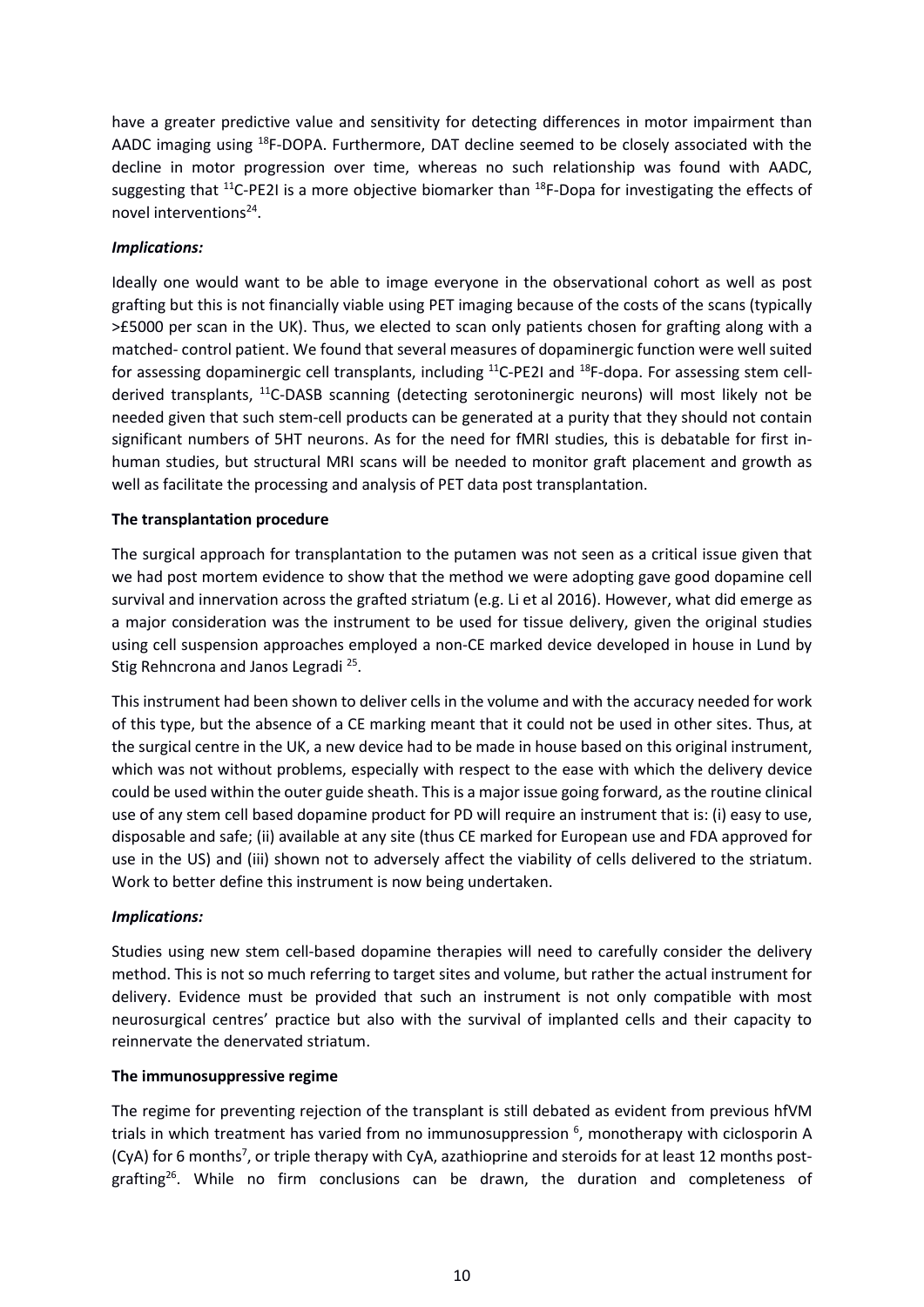have a greater predictive value and sensitivity for detecting differences in motor impairment than AADC imaging using <sup>18</sup>F-DOPA. Furthermore, DAT decline seemed to be closely associated with the decline in motor progression over time, whereas no such relationship was found with AADC, suggesting that  $^{11}$ C-PE2I is a more objective biomarker than  $^{18}$ F-Dopa for investigating the effects of novel interventions<sup>24</sup>.

## *Implications:*

Ideally one would want to be able to image everyone in the observational cohort as well as post grafting but this is not financially viable using PET imaging because of the costs of the scans (typically >£5000 per scan in the UK). Thus, we elected to scan only patients chosen for grafting along with a matched- control patient. We found that several measures of dopaminergic function were well suited for assessing dopaminergic cell transplants, including <sup>11</sup>C-PE2I and <sup>18</sup>F-dopa. For assessing stem cellderived transplants, <sup>11</sup>C-DASB scanning (detecting serotoninergic neurons) will most likely not be needed given that such stem-cell products can be generated at a purity that they should not contain significant numbers of 5HT neurons. As for the need for fMRI studies, this is debatable for first inhuman studies, but structural MRI scans will be needed to monitor graft placement and growth as well as facilitate the processing and analysis of PET data post transplantation.

### **The transplantation procedure**

The surgical approach for transplantation to the putamen was not seen as a critical issue given that we had post mortem evidence to show that the method we were adopting gave good dopamine cell survival and innervation across the grafted striatum (e.g. Li et al 2016). However, what did emerge as a major consideration was the instrument to be used for tissue delivery, given the original studies using cell suspension approaches employed a non-CE marked device developed in house in Lund by Stig Rehncrona and Janos Legradi<sup>25</sup>.

This instrument had been shown to deliver cells in the volume and with the accuracy needed for work of this type, but the absence of a CE marking meant that it could not be used in other sites. Thus, at the surgical centre in the UK, a new device had to be made in house based on this original instrument, which was not without problems, especially with respect to the ease with which the delivery device could be used within the outer guide sheath. This is a major issue going forward, as the routine clinical use of any stem cell based dopamine product for PD will require an instrument that is: (i) easy to use, disposable and safe; (ii) available at any site (thus CE marked for European use and FDA approved for use in the US) and (iii) shown not to adversely affect the viability of cells delivered to the striatum. Work to better define this instrument is now being undertaken.

#### *Implications:*

Studies using new stem cell-based dopamine therapies will need to carefully consider the delivery method. This is not so much referring to target sites and volume, but rather the actual instrument for delivery. Evidence must be provided that such an instrument is not only compatible with most neurosurgical centres' practice but also with the survival of implanted cells and their capacity to reinnervate the denervated striatum.

#### **The immunosuppressive regime**

The regime for preventing rejection of the transplant is still debated as evident from previous hfVM trials in which treatment has varied from no immunosuppression <sup>6</sup>, monotherapy with ciclosporin A (CyA) for 6 months<sup>7</sup>, or triple therapy with CyA, azathioprine and steroids for at least 12 months postgrafting<sup>26</sup>. While no firm conclusions can be drawn, the duration and completeness of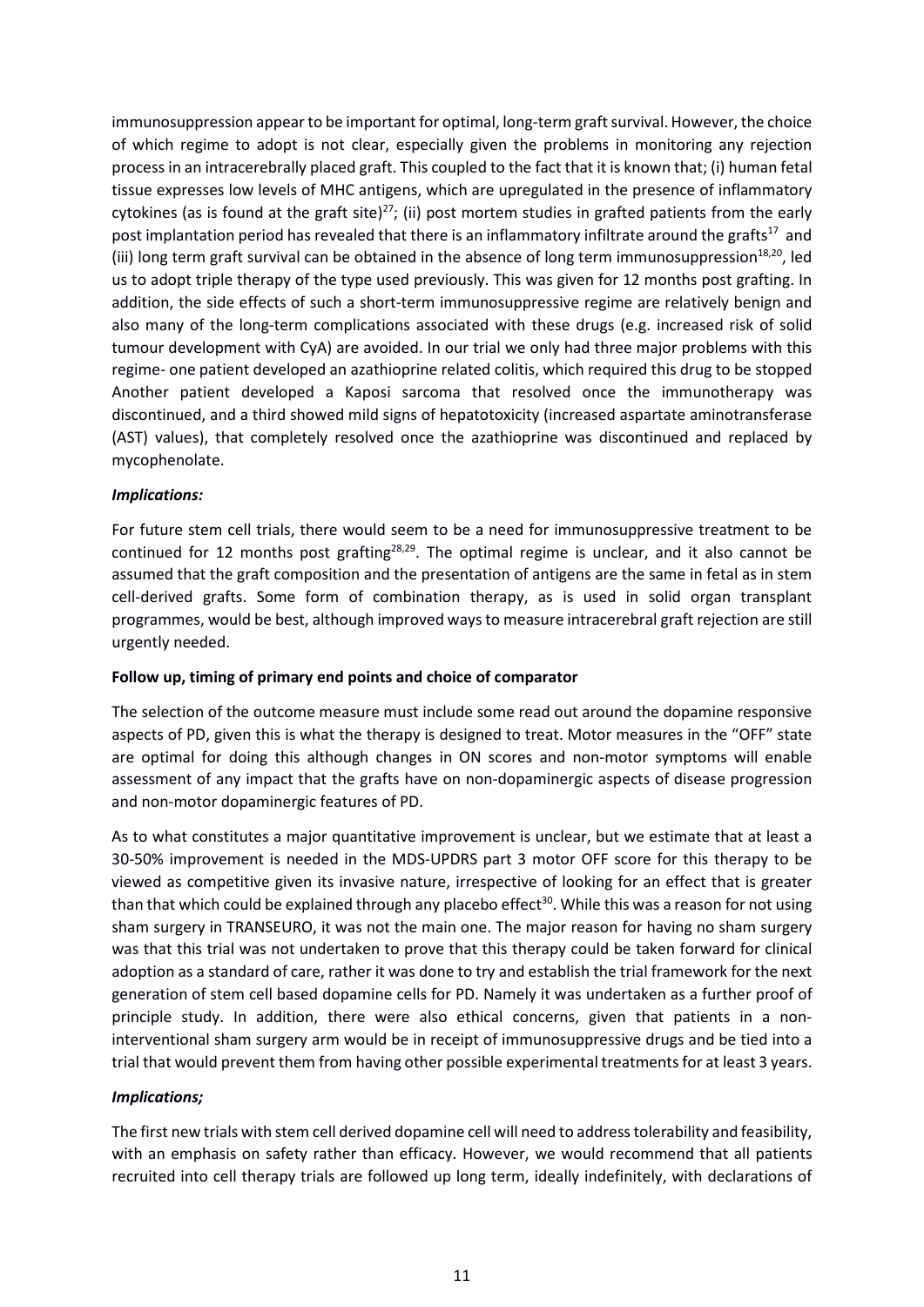immunosuppression appear to be important for optimal, long-term graft survival. However, the choice of which regime to adopt is not clear, especially given the problems in monitoring any rejection process in an intracerebrally placed graft. This coupled to the fact that it is known that; (i) human fetal tissue expresses low levels of MHC antigens, which are upregulated in the presence of inflammatory cytokines (as is found at the graft site)<sup>27</sup>; (ii) post mortem studies in grafted patients from the early post implantation period has revealed that there is an inflammatory infiltrate around the grafts<sup>17</sup> and (iii) long term graft survival can be obtained in the absence of long term immunosuppression<sup>18,20</sup>, led us to adopt triple therapy of the type used previously. This was given for 12 months post grafting. In addition, the side effects of such a short-term immunosuppressive regime are relatively benign and also many of the long-term complications associated with these drugs (e.g. increased risk of solid tumour development with CyA) are avoided. In our trial we only had three major problems with this regime- one patient developed an azathioprine related colitis, which required this drug to be stopped Another patient developed a Kaposi sarcoma that resolved once the immunotherapy was discontinued, and a third showed mild signs of hepatotoxicity (increased aspartate aminotransferase (AST) values), that completely resolved once the azathioprine was discontinued and replaced by mycophenolate.

### *Implications:*

For future stem cell trials, there would seem to be a need for immunosuppressive treatment to be continued for 12 months post grafting<sup>28,29</sup>. The optimal regime is unclear, and it also cannot be assumed that the graft composition and the presentation of antigens are the same in fetal as in stem cell-derived grafts. Some form of combination therapy, as is used in solid organ transplant programmes, would be best, although improved ways to measure intracerebral graft rejection are still urgently needed.

#### **Follow up, timing of primary end points and choice of comparator**

The selection of the outcome measure must include some read out around the dopamine responsive aspects of PD, given this is what the therapy is designed to treat. Motor measures in the "OFF" state are optimal for doing this although changes in ON scores and non-motor symptoms will enable assessment of any impact that the grafts have on non-dopaminergic aspects of disease progression and non-motor dopaminergic features of PD.

As to what constitutes a major quantitative improvement is unclear, but we estimate that at least a 30-50% improvement is needed in the MDS-UPDRS part 3 motor OFF score for this therapy to be viewed as competitive given its invasive nature, irrespective of looking for an effect that is greater than that which could be explained through any placebo effect<sup>30</sup>. While this was a reason for not using sham surgery in TRANSEURO, it was not the main one. The major reason for having no sham surgery was that this trial was not undertaken to prove that this therapy could be taken forward for clinical adoption as a standard of care, rather it was done to try and establish the trial framework for the next generation of stem cell based dopamine cells for PD. Namely it was undertaken as a further proof of principle study. In addition, there were also ethical concerns, given that patients in a noninterventional sham surgery arm would be in receipt of immunosuppressive drugs and be tied into a trial that would prevent them from having other possible experimental treatmentsfor at least 3 years.

# *Implications;*

The first new trials with stem cell derived dopamine cell will need to address tolerability and feasibility, with an emphasis on safety rather than efficacy. However, we would recommend that all patients recruited into cell therapy trials are followed up long term, ideally indefinitely, with declarations of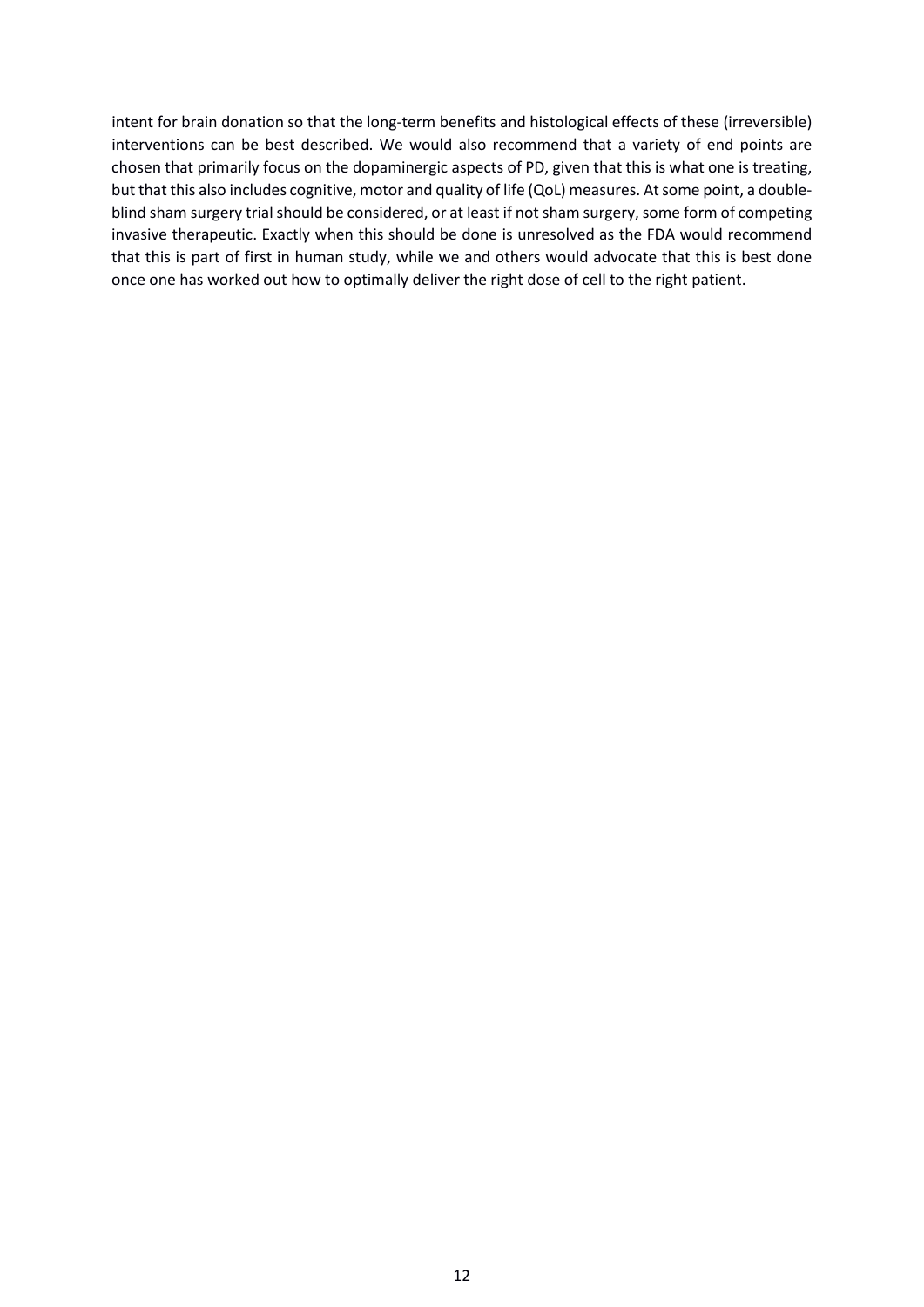intent for brain donation so that the long-term benefits and histological effects of these (irreversible) interventions can be best described. We would also recommend that a variety of end points are chosen that primarily focus on the dopaminergic aspects of PD, given that this is what one is treating, but that this also includes cognitive, motor and quality of life (QoL) measures. At some point, a doubleblind sham surgery trial should be considered, or at least if not sham surgery, some form of competing invasive therapeutic. Exactly when this should be done is unresolved as the FDA would recommend that this is part of first in human study, while we and others would advocate that this is best done once one has worked out how to optimally deliver the right dose of cell to the right patient.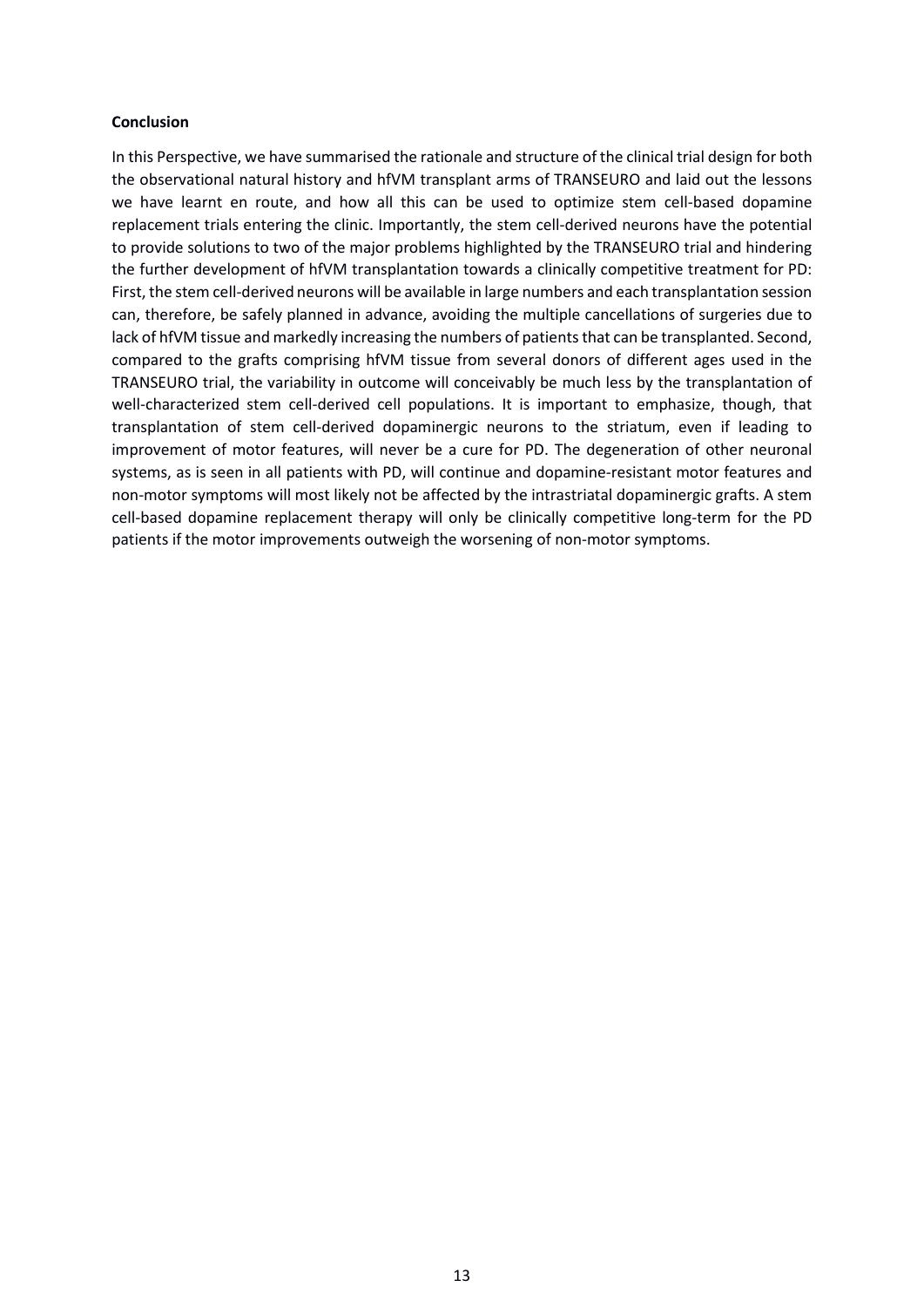#### **Conclusion**

In this Perspective, we have summarised the rationale and structure of the clinical trial design for both the observational natural history and hfVM transplant arms of TRANSEURO and laid out the lessons we have learnt en route, and how all this can be used to optimize stem cell-based dopamine replacement trials entering the clinic. Importantly, the stem cell-derived neurons have the potential to provide solutions to two of the major problems highlighted by the TRANSEURO trial and hindering the further development of hfVM transplantation towards a clinically competitive treatment for PD: First, the stem cell-derived neurons will be available in large numbers and each transplantation session can, therefore, be safely planned in advance, avoiding the multiple cancellations of surgeries due to lack of hfVM tissue and markedly increasing the numbers of patients that can be transplanted. Second, compared to the grafts comprising hfVM tissue from several donors of different ages used in the TRANSEURO trial, the variability in outcome will conceivably be much less by the transplantation of well-characterized stem cell-derived cell populations. It is important to emphasize, though, that transplantation of stem cell-derived dopaminergic neurons to the striatum, even if leading to improvement of motor features, will never be a cure for PD. The degeneration of other neuronal systems, as is seen in all patients with PD, will continue and dopamine-resistant motor features and non-motor symptoms will most likely not be affected by the intrastriatal dopaminergic grafts. A stem cell-based dopamine replacement therapy will only be clinically competitive long-term for the PD patients if the motor improvements outweigh the worsening of non-motor symptoms.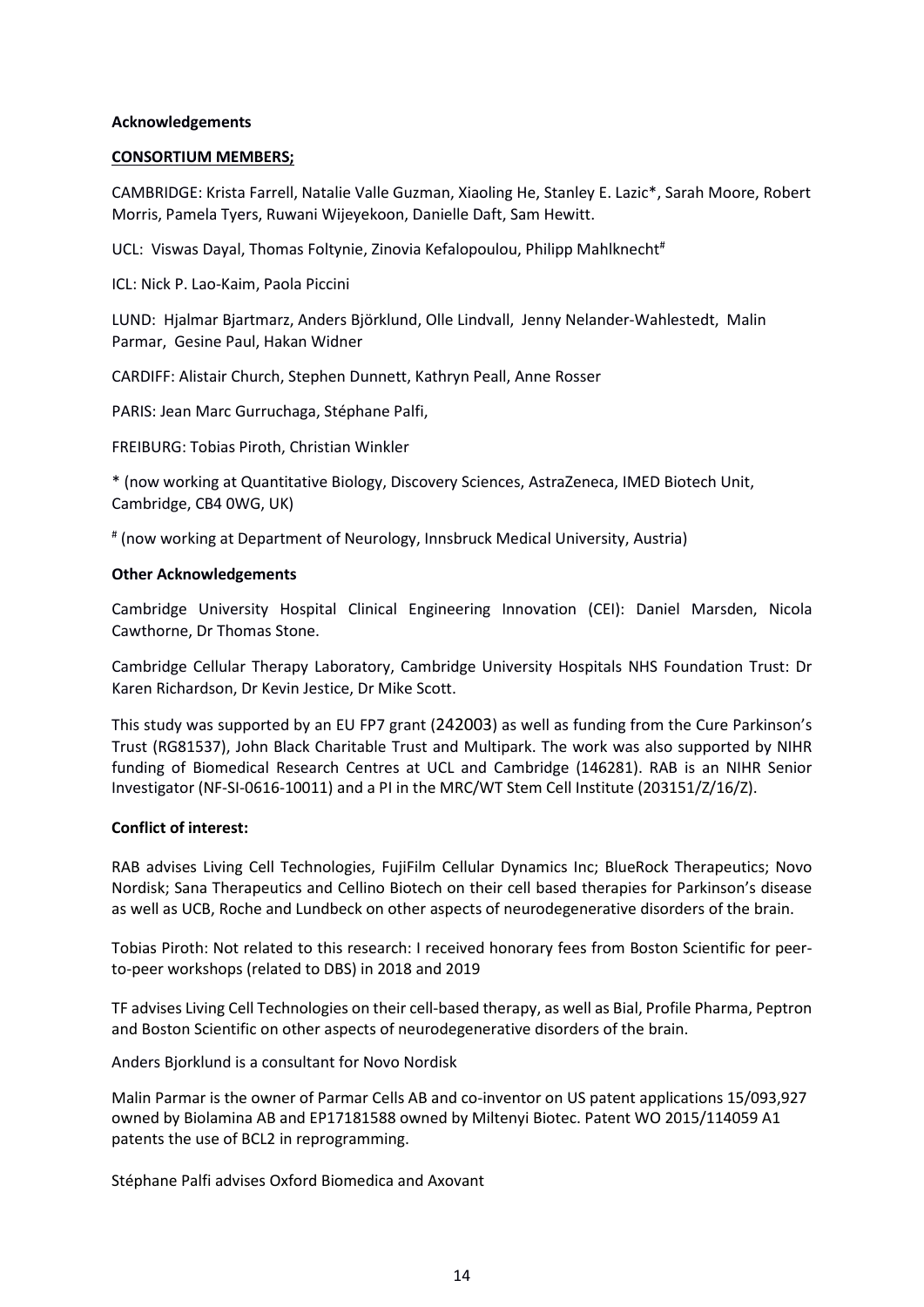#### **Acknowledgements**

#### **CONSORTIUM MEMBERS;**

CAMBRIDGE: Krista Farrell, Natalie Valle Guzman, Xiaoling He, Stanley E. Lazic\*, Sarah Moore, Robert Morris, Pamela Tyers, Ruwani Wijeyekoon, Danielle Daft, Sam Hewitt.

UCL: Viswas Dayal, Thomas Foltynie, Zinovia Kefalopoulou, Philipp Mahlknecht<sup>#</sup>

ICL: Nick P. Lao-Kaim, Paola Piccini

LUND: Hjalmar Bjartmarz, Anders Björklund, Olle Lindvall, Jenny Nelander-Wahlestedt, Malin Parmar, Gesine Paul, Hakan Widner

CARDIFF: Alistair Church, Stephen Dunnett, Kathryn Peall, Anne Rosser

PARIS: Jean Marc Gurruchaga, Stéphane Palfi,

FREIBURG: Tobias Piroth, Christian Winkler

\* (now working at Quantitative Biology, Discovery Sciences, AstraZeneca, IMED Biotech Unit, Cambridge, CB4 0WG, UK)

# (now working at Department of Neurology, Innsbruck Medical University, Austria)

#### **Other Acknowledgements**

Cambridge University Hospital Clinical Engineering Innovation (CEI): Daniel Marsden, Nicola Cawthorne, Dr Thomas Stone.

Cambridge Cellular Therapy Laboratory, Cambridge University Hospitals NHS Foundation Trust: Dr Karen Richardson, Dr Kevin Jestice, Dr Mike Scott.

This study was supported by an EU FP7 grant (242003) as well as funding from the Cure Parkinson's Trust (RG81537), John Black Charitable Trust and Multipark. The work was also supported by NIHR funding of Biomedical Research Centres at UCL and Cambridge (146281). RAB is an NIHR Senior Investigator (NF-SI-0616-10011) and a PI in the MRC/WT Stem Cell Institute (203151/Z/16/Z).

#### **Conflict of interest:**

RAB advises Living Cell Technologies, FujiFilm Cellular Dynamics Inc; BlueRock Therapeutics; Novo Nordisk; Sana Therapeutics and Cellino Biotech on their cell based therapies for Parkinson's disease as well as UCB, Roche and Lundbeck on other aspects of neurodegenerative disorders of the brain.

Tobias Piroth: Not related to this research: I received honorary fees from Boston Scientific for peerto-peer workshops (related to DBS) in 2018 and 2019

TF advises Living Cell Technologies on their cell-based therapy, as well as Bial, Profile Pharma, Peptron and Boston Scientific on other aspects of neurodegenerative disorders of the brain.

Anders Bjorklund is a consultant for Novo Nordisk

Malin Parmar is the owner of Parmar Cells AB and co-inventor on US patent applications 15/093,927 owned by Biolamina AB and EP17181588 owned by Miltenyi Biotec. Patent WO 2015/114059 A1 patents the use of BCL2 in reprogramming.

Stéphane Palfi advises Oxford Biomedica and Axovant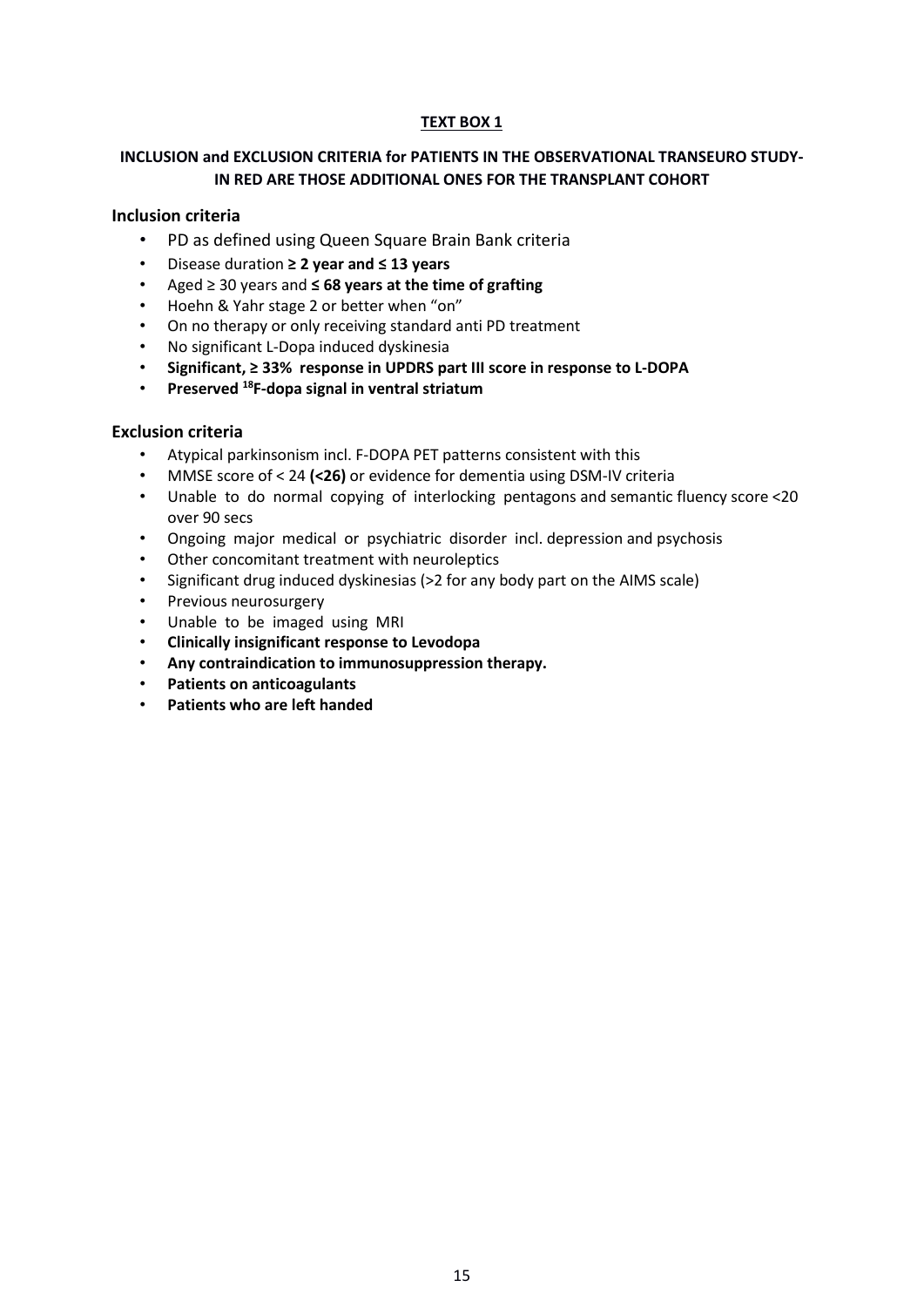#### **TEXT BOX 1**

# **INCLUSION and EXCLUSION CRITERIA for PATIENTS IN THE OBSERVATIONAL TRANSEURO STUDY-IN RED ARE THOSE ADDITIONAL ONES FOR THE TRANSPLANT COHORT**

### **Inclusion criteria**

- PD as defined using Queen Square Brain Bank criteria
- Disease duration **≥ 2 year and ≤ 13 years**
- Aged ≥ 30 years and **≤ 68 years at the time of grafting**
- Hoehn & Yahr stage 2 or better when "on"
- On no therapy or only receiving standard anti PD treatment
- No significant L-Dopa induced dyskinesia
- **Significant, ≥ 33% response in UPDRS part III score in response to L-DOPA**
- **Preserved <sup>18</sup>F-dopa signal in ventral striatum**

### **Exclusion criteria**

- Atypical parkinsonism incl. F-DOPA PET patterns consistent with this
- MMSE score of < 24 **(<26)** or evidence for dementia using DSM-IV criteria
- Unable to do normal copying of interlocking pentagons and semantic fluency score <20 over 90 secs
- Ongoing major medical or psychiatric disorder incl. depression and psychosis
- Other concomitant treatment with neuroleptics
- Significant drug induced dyskinesias (>2 for any body part on the AIMS scale)
- Previous neurosurgery
- Unable to be imaged using MRI
- **Clinically insignificant response to Levodopa**
- **Any contraindication to immunosuppression therapy.**
- **Patients on anticoagulants**
- **Patients who are left handed**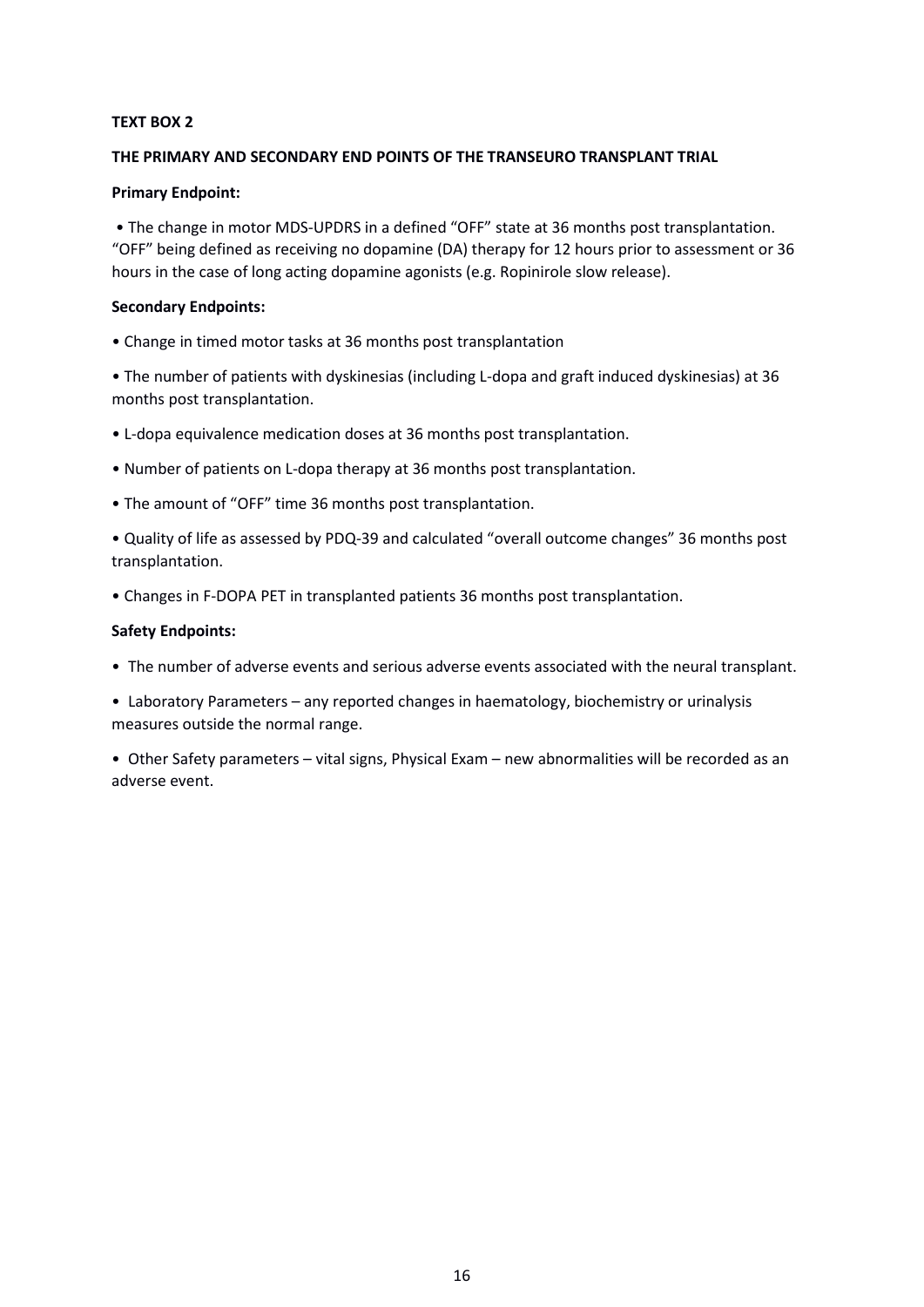#### **TEXT BOX 2**

#### **THE PRIMARY AND SECONDARY END POINTS OF THE TRANSEURO TRANSPLANT TRIAL**

#### **Primary Endpoint:**

• The change in motor MDS-UPDRS in a defined "OFF" state at 36 months post transplantation. "OFF" being defined as receiving no dopamine (DA) therapy for 12 hours prior to assessment or 36 hours in the case of long acting dopamine agonists (e.g. Ropinirole slow release).

#### **Secondary Endpoints:**

• Change in timed motor tasks at 36 months post transplantation

• The number of patients with dyskinesias (including L-dopa and graft induced dyskinesias) at 36 months post transplantation.

- L-dopa equivalence medication doses at 36 months post transplantation.
- Number of patients on L-dopa therapy at 36 months post transplantation.
- The amount of "OFF" time 36 months post transplantation.

• Quality of life as assessed by PDQ-39 and calculated "overall outcome changes" 36 months post transplantation.

• Changes in F-DOPA PET in transplanted patients 36 months post transplantation.

### **Safety Endpoints:**

- The number of adverse events and serious adverse events associated with the neural transplant.
- Laboratory Parameters any reported changes in haematology, biochemistry or urinalysis measures outside the normal range.
- Other Safety parameters vital signs, Physical Exam new abnormalities will be recorded as an adverse event.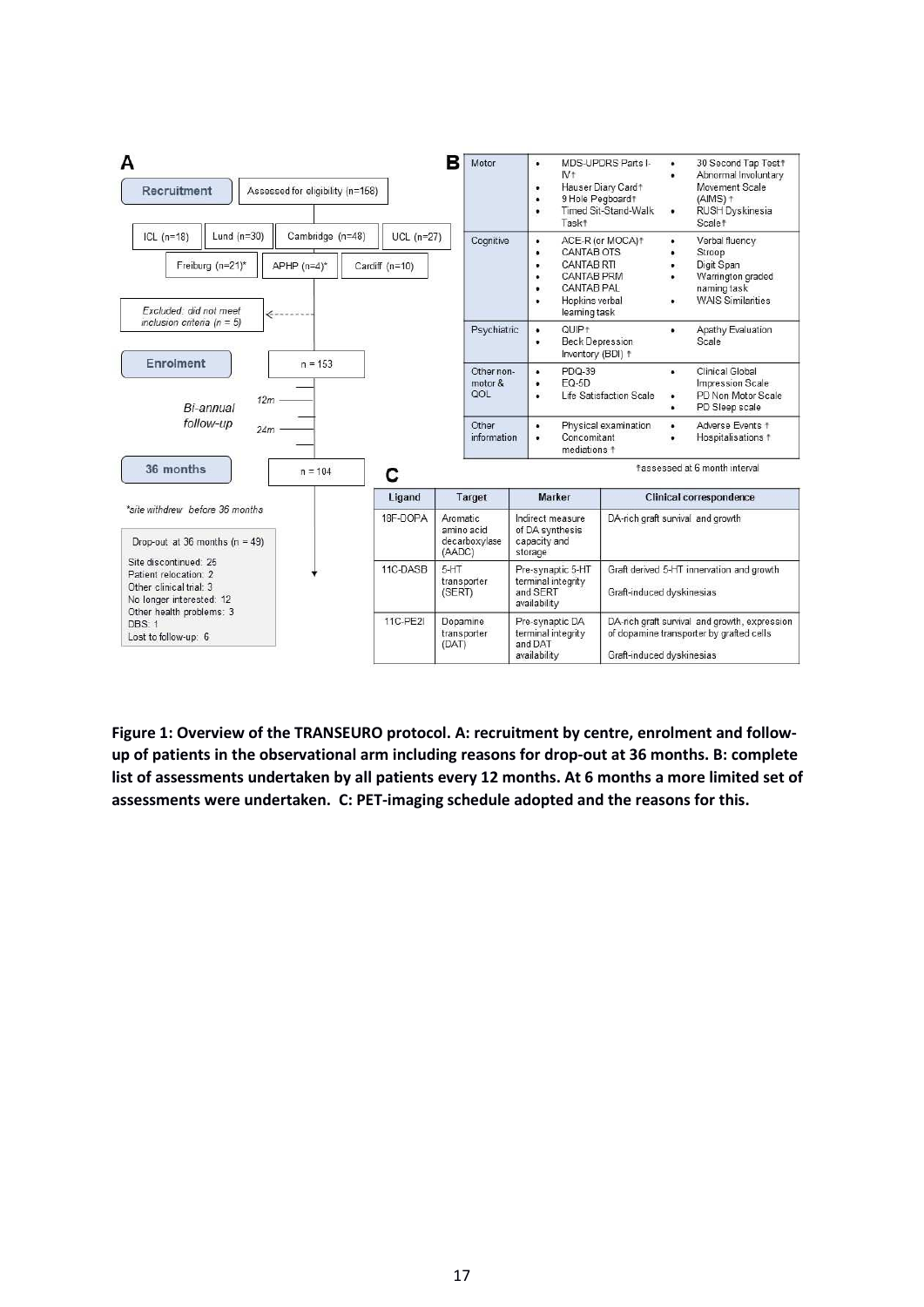

**Figure 1: Overview of the TRANSEURO protocol. A: recruitment by centre, enrolment and followup of patients in the observational arm including reasons for drop-out at 36 months. B: complete list of assessments undertaken by all patients every 12 months. At 6 months a more limited set of assessments were undertaken. C: PET-imaging schedule adopted and the reasons for this.**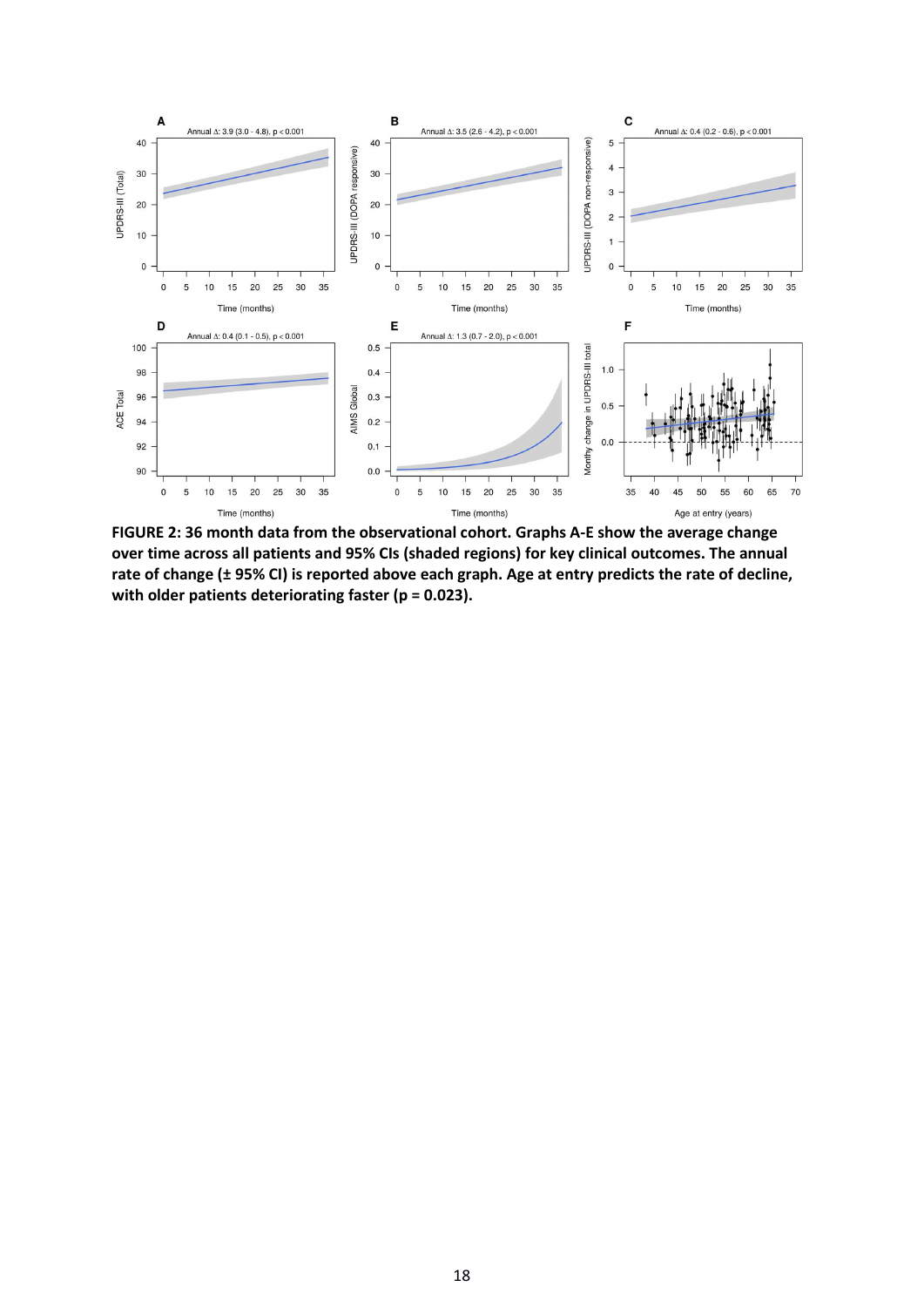

**FIGURE 2: 36 month data from the observational cohort. Graphs A-E show the average change over time across all patients and 95% CIs (shaded regions) for key clinical outcomes. The annual rate of change (± 95% CI) is reported above each graph. Age at entry predicts the rate of decline, with older patients deteriorating faster (p = 0.023).**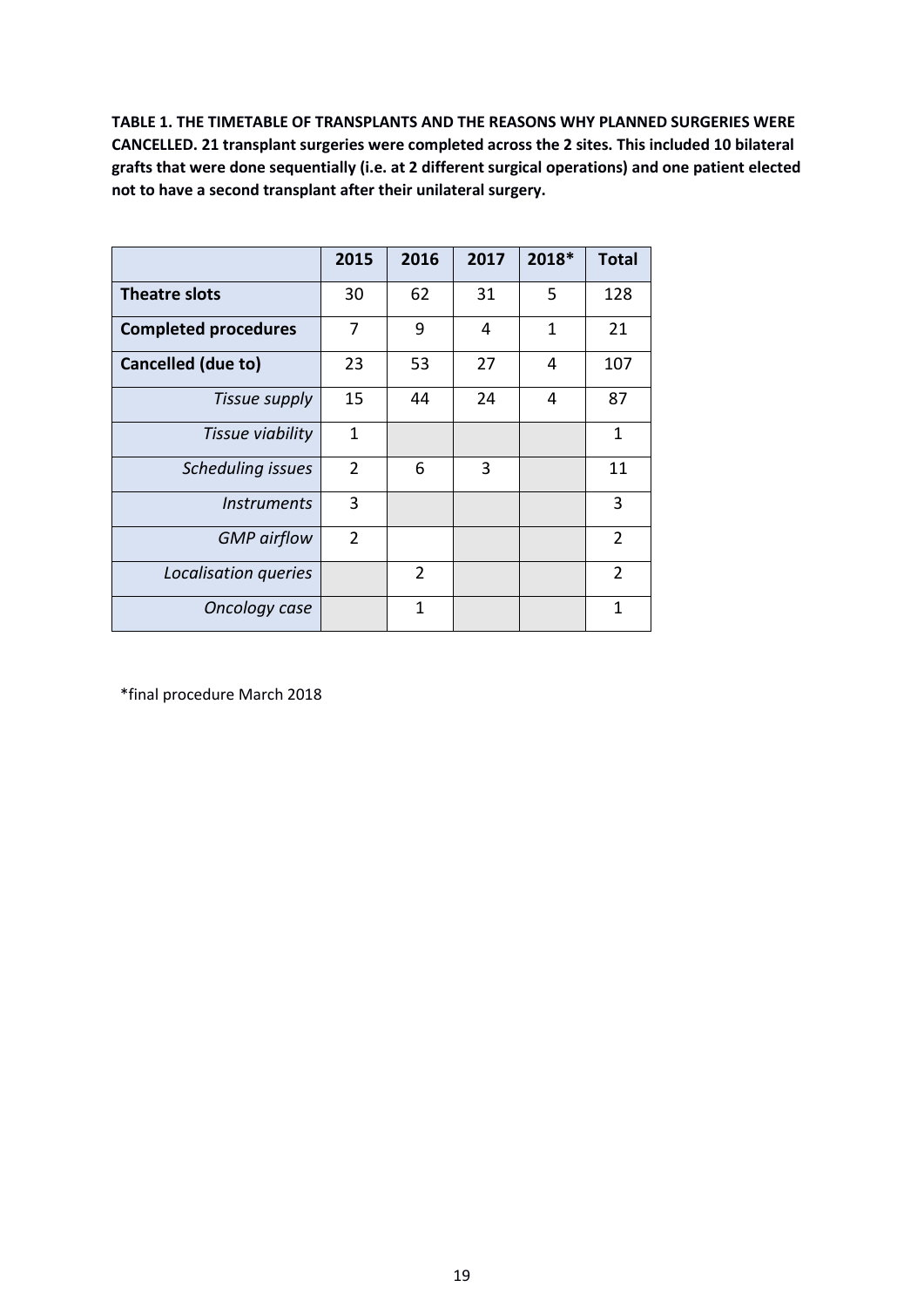**TABLE 1. THE TIMETABLE OF TRANSPLANTS AND THE REASONS WHY PLANNED SURGERIES WERE CANCELLED. 21 transplant surgeries were completed across the 2 sites. This included 10 bilateral grafts that were done sequentially (i.e. at 2 different surgical operations) and one patient elected not to have a second transplant after their unilateral surgery.**

|                                  | 2015           | 2016           | 2017 | 2018* | <b>Total</b>   |
|----------------------------------|----------------|----------------|------|-------|----------------|
| Theatre slots                    | 30             | 62             | 31   | 5     | 128            |
| <b>Completed procedures</b>      | 7              | 9              | 4    | 1     | 21             |
| Cancelled (due to)               | 23             | 53             | 27   | 4     | 107            |
| Tissue supply                    | 15             | 44             | 24   | 4     | 87             |
| Tissue viability                 | 1              |                |      |       | $\mathbf{1}$   |
| <b>Scheduling issues</b>         | $\overline{2}$ | 6              | 3    |       | 11             |
| <i><u><b>Instruments</b></u></i> | 3              |                |      |       | 3              |
| <b>GMP</b> airflow               | $\overline{2}$ |                |      |       | $\overline{2}$ |
| Localisation queries             |                | $\overline{2}$ |      |       | $\overline{2}$ |
| Oncology case                    |                | 1              |      |       | $\mathbf 1$    |

\*final procedure March 2018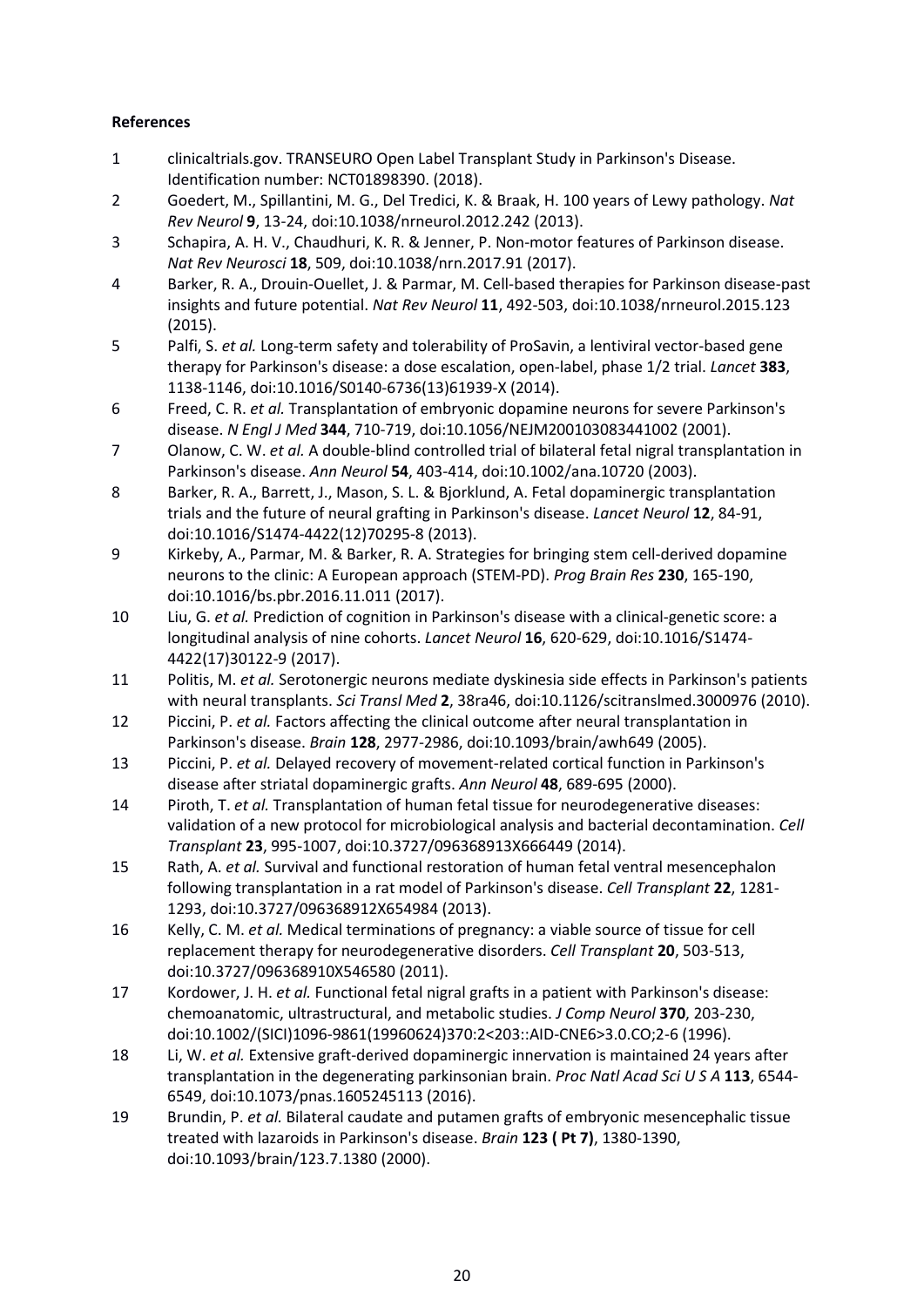# **References**

- 1 clinicaltrials.gov. TRANSEURO Open Label Transplant Study in Parkinson's Disease. Identification number: NCT01898390. (2018).
- 2 Goedert, M., Spillantini, M. G., Del Tredici, K. & Braak, H. 100 years of Lewy pathology. *Nat Rev Neurol* **9**, 13-24, doi:10.1038/nrneurol.2012.242 (2013).
- 3 Schapira, A. H. V., Chaudhuri, K. R. & Jenner, P. Non-motor features of Parkinson disease. *Nat Rev Neurosci* **18**, 509, doi:10.1038/nrn.2017.91 (2017).
- 4 Barker, R. A., Drouin-Ouellet, J. & Parmar, M. Cell-based therapies for Parkinson disease-past insights and future potential. *Nat Rev Neurol* **11**, 492-503, doi:10.1038/nrneurol.2015.123 (2015).
- 5 Palfi, S. *et al.* Long-term safety and tolerability of ProSavin, a lentiviral vector-based gene therapy for Parkinson's disease: a dose escalation, open-label, phase 1/2 trial. *Lancet* **383**, 1138-1146, doi:10.1016/S0140-6736(13)61939-X (2014).
- 6 Freed, C. R. *et al.* Transplantation of embryonic dopamine neurons for severe Parkinson's disease. *N Engl J Med* **344**, 710-719, doi:10.1056/NEJM200103083441002 (2001).
- 7 Olanow, C. W. *et al.* A double-blind controlled trial of bilateral fetal nigral transplantation in Parkinson's disease. *Ann Neurol* **54**, 403-414, doi:10.1002/ana.10720 (2003).
- 8 Barker, R. A., Barrett, J., Mason, S. L. & Bjorklund, A. Fetal dopaminergic transplantation trials and the future of neural grafting in Parkinson's disease. *Lancet Neurol* **12**, 84-91, doi:10.1016/S1474-4422(12)70295-8 (2013).
- 9 Kirkeby, A., Parmar, M. & Barker, R. A. Strategies for bringing stem cell-derived dopamine neurons to the clinic: A European approach (STEM-PD). *Prog Brain Res* **230**, 165-190, doi:10.1016/bs.pbr.2016.11.011 (2017).
- 10 Liu, G. *et al.* Prediction of cognition in Parkinson's disease with a clinical-genetic score: a longitudinal analysis of nine cohorts. *Lancet Neurol* **16**, 620-629, doi:10.1016/S1474- 4422(17)30122-9 (2017).
- 11 Politis, M. *et al.* Serotonergic neurons mediate dyskinesia side effects in Parkinson's patients with neural transplants. *Sci Transl Med* **2**, 38ra46, doi:10.1126/scitranslmed.3000976 (2010).
- 12 Piccini, P. *et al.* Factors affecting the clinical outcome after neural transplantation in Parkinson's disease. *Brain* **128**, 2977-2986, doi:10.1093/brain/awh649 (2005).
- 13 Piccini, P. *et al.* Delayed recovery of movement-related cortical function in Parkinson's disease after striatal dopaminergic grafts. *Ann Neurol* **48**, 689-695 (2000).
- 14 Piroth, T. *et al.* Transplantation of human fetal tissue for neurodegenerative diseases: validation of a new protocol for microbiological analysis and bacterial decontamination. *Cell Transplant* **23**, 995-1007, doi:10.3727/096368913X666449 (2014).
- 15 Rath, A. *et al.* Survival and functional restoration of human fetal ventral mesencephalon following transplantation in a rat model of Parkinson's disease. *Cell Transplant* **22**, 1281- 1293, doi:10.3727/096368912X654984 (2013).
- 16 Kelly, C. M. *et al.* Medical terminations of pregnancy: a viable source of tissue for cell replacement therapy for neurodegenerative disorders. *Cell Transplant* **20**, 503-513, doi:10.3727/096368910X546580 (2011).
- 17 Kordower, J. H. *et al.* Functional fetal nigral grafts in a patient with Parkinson's disease: chemoanatomic, ultrastructural, and metabolic studies. *J Comp Neurol* **370**, 203-230, doi:10.1002/(SICI)1096-9861(19960624)370:2<203::AID-CNE6>3.0.CO;2-6 (1996).
- 18 Li, W. *et al.* Extensive graft-derived dopaminergic innervation is maintained 24 years after transplantation in the degenerating parkinsonian brain. *Proc Natl Acad Sci U S A* **113**, 6544- 6549, doi:10.1073/pnas.1605245113 (2016).
- 19 Brundin, P. *et al.* Bilateral caudate and putamen grafts of embryonic mesencephalic tissue treated with lazaroids in Parkinson's disease. *Brain* **123 ( Pt 7)**, 1380-1390, doi:10.1093/brain/123.7.1380 (2000).